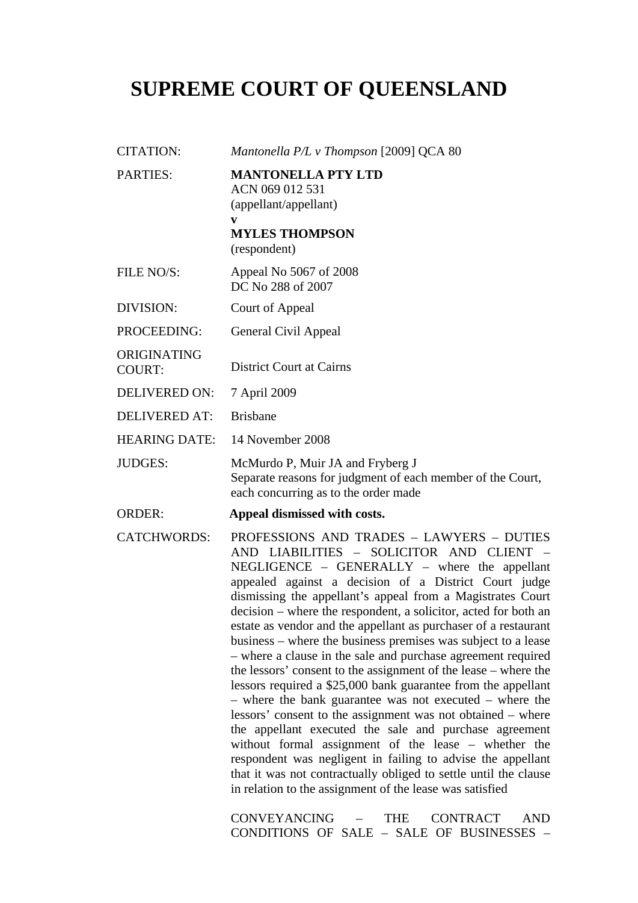# **SUPREME COURT OF QUEENSLAND**

CITATION: *Mantonella P/L v Thompson* [2009] QCA 80 PARTIES: **MANTONELLA PTY LTD**  ACN 069 012 531 (appellant/appellant) **v MYLES THOMPSON**  (respondent) FILE NO/S: Appeal No 5067 of 2008 DC No 288 of 2007 DIVISION: Court of Appeal PROCEEDING: General Civil Appeal ORIGINATING COURT: District Court at Cairns DELIVERED ON: 7 April 2009 DELIVERED AT: Brisbane HEARING DATE: 14 November 2008 JUDGES: McMurdo P, Muir JA and Fryberg J Separate reasons for judgment of each member of the Court, each concurring as to the order made ORDER: **Appeal dismissed with costs.**  CATCHWORDS: PROFESSIONS AND TRADES – LAWYERS – DUTIES AND LIABILITIES – SOLICITOR AND CLIENT – NEGLIGENCE – GENERALLY – where the appellant appealed against a decision of a District Court judge dismissing the appellant's appeal from a Magistrates Court decision – where the respondent, a solicitor, acted for both an estate as vendor and the appellant as purchaser of a restaurant business – where the business premises was subject to a lease – where a clause in the sale and purchase agreement required the lessors' consent to the assignment of the lease – where the lessors required a \$25,000 bank guarantee from the appellant – where the bank guarantee was not executed – where the lessors' consent to the assignment was not obtained – where the appellant executed the sale and purchase agreement without formal assignment of the lease – whether the respondent was negligent in failing to advise the appellant that it was not contractually obliged to settle until the clause in relation to the assignment of the lease was satisfied

> CONVEYANCING – THE CONTRACT AND CONDITIONS OF SALE – SALE OF BUSINESSES –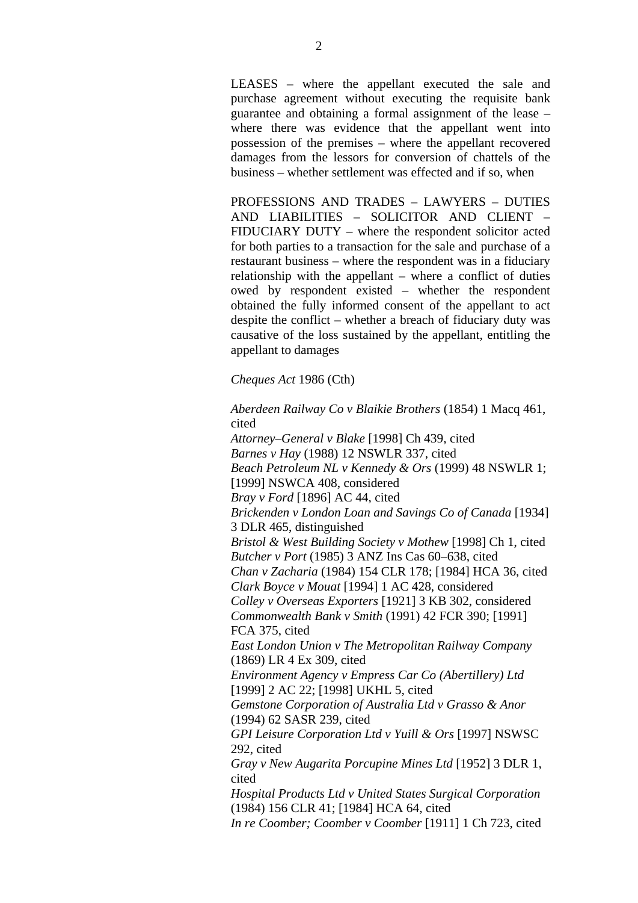LEASES – where the appellant executed the sale and purchase agreement without executing the requisite bank guarantee and obtaining a formal assignment of the lease – where there was evidence that the appellant went into possession of the premises – where the appellant recovered damages from the lessors for conversion of chattels of the business – whether settlement was effected and if so, when

PROFESSIONS AND TRADES – LAWYERS – DUTIES AND LIABILITIES – SOLICITOR AND CLIENT – FIDUCIARY DUTY – where the respondent solicitor acted for both parties to a transaction for the sale and purchase of a restaurant business – where the respondent was in a fiduciary relationship with the appellant – where a conflict of duties owed by respondent existed – whether the respondent obtained the fully informed consent of the appellant to act despite the conflict – whether a breach of fiduciary duty was causative of the loss sustained by the appellant, entitling the appellant to damages

*Cheques Act* 1986 (Cth)

*Aberdeen Railway Co v Blaikie Brothers* (1854) 1 Macq 461, cited *Attorney–General v Blake* [1998] Ch 439, cited *Barnes v Hay* (1988) 12 NSWLR 337, cited *Beach Petroleum NL v Kennedy & Ors* (1999) 48 NSWLR 1; [1999] NSWCA 408, considered *Bray v Ford* [1896] AC 44, cited *Brickenden v London Loan and Savings Co of Canada* [1934] 3 DLR 465, distinguished *Bristol & West Building Society v Mothew* [1998] Ch 1, cited *Butcher v Port* (1985) 3 ANZ Ins Cas 60–638, cited *Chan v Zacharia* (1984) 154 CLR 178; [1984] HCA 36, cited *Clark Boyce v Mouat* [1994] 1 AC 428, considered *Colley v Overseas Exporters* [1921] 3 KB 302, considered *Commonwealth Bank v Smith* (1991) 42 FCR 390; [1991] FCA 375, cited *East London Union v The Metropolitan Railway Company*  (1869) LR 4 Ex 309, cited *Environment Agency v Empress Car Co (Abertillery) Ltd* [1999] 2 AC 22; [1998] UKHL 5, cited *Gemstone Corporation of Australia Ltd v Grasso & Anor*  (1994) 62 SASR 239, cited *GPI Leisure Corporation Ltd v Yuill & Ors* [1997] NSWSC 292, cited *Gray v New Augarita Porcupine Mines Ltd* [1952] 3 DLR 1, cited *Hospital Products Ltd v United States Surgical Corporation*  (1984) 156 CLR 41; [1984] HCA 64, cited

*In re Coomber; Coomber v Coomber* [1911] 1 Ch 723, cited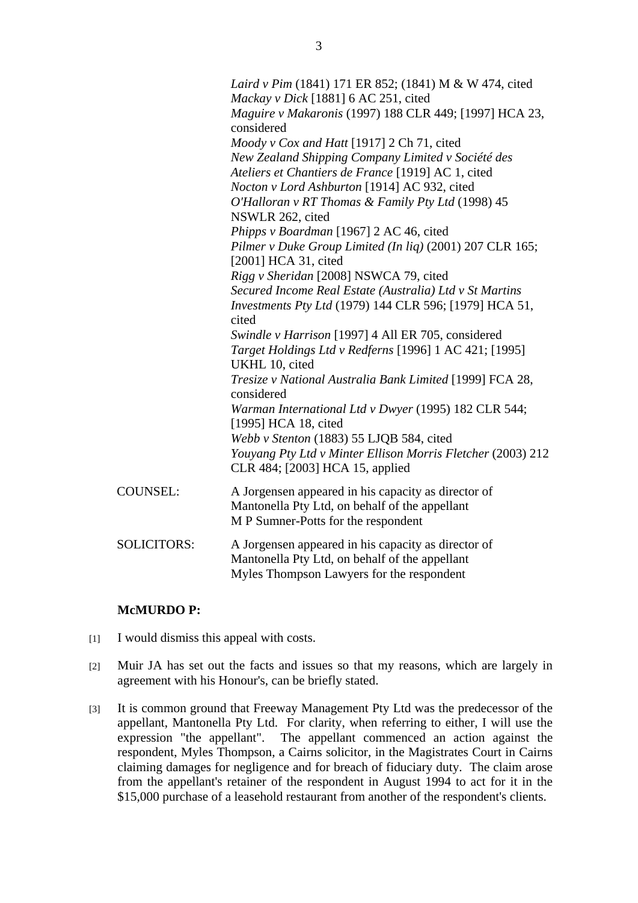|                    | Laird v Pim (1841) 171 ER 852; (1841) M & W 474, cited<br>Mackay v Dick [1881] 6 AC 251, cited<br>Maguire v Makaronis (1997) 188 CLR 449; [1997] HCA 23,<br>considered<br>Moody v Cox and Hatt [1917] 2 Ch 71, cited<br>New Zealand Shipping Company Limited v Société des<br>Ateliers et Chantiers de France [1919] AC 1, cited<br>Nocton v Lord Ashburton [1914] AC 932, cited<br>O'Halloran v RT Thomas & Family Pty Ltd (1998) 45<br>NSWLR 262, cited<br>Phipps v Boardman [1967] 2 AC 46, cited<br>Pilmer v Duke Group Limited (In liq) (2001) 207 CLR 165;<br>[2001] HCA 31, cited<br>Rigg v Sheridan [2008] NSWCA 79, cited<br>Secured Income Real Estate (Australia) Ltd v St Martins<br>Investments Pty Ltd (1979) 144 CLR 596; [1979] HCA 51,<br>cited<br>Swindle v Harrison [1997] 4 All ER 705, considered<br>Target Holdings Ltd v Redferns [1996] 1 AC 421; [1995]<br>UKHL 10, cited<br>Tresize v National Australia Bank Limited [1999] FCA 28,<br>considered |
|--------------------|------------------------------------------------------------------------------------------------------------------------------------------------------------------------------------------------------------------------------------------------------------------------------------------------------------------------------------------------------------------------------------------------------------------------------------------------------------------------------------------------------------------------------------------------------------------------------------------------------------------------------------------------------------------------------------------------------------------------------------------------------------------------------------------------------------------------------------------------------------------------------------------------------------------------------------------------------------------------------|
|                    | Warman International Ltd v Dwyer (1995) 182 CLR 544;<br>[1995] HCA 18, cited<br>Webb v Stenton (1883) 55 LJQB 584, cited<br>Youyang Pty Ltd v Minter Ellison Morris Fletcher (2003) 212<br>CLR 484; [2003] HCA 15, applied                                                                                                                                                                                                                                                                                                                                                                                                                                                                                                                                                                                                                                                                                                                                                   |
| <b>COUNSEL:</b>    | A Jorgensen appeared in his capacity as director of<br>Mantonella Pty Ltd, on behalf of the appellant<br>M P Sumner-Potts for the respondent                                                                                                                                                                                                                                                                                                                                                                                                                                                                                                                                                                                                                                                                                                                                                                                                                                 |
| <b>SOLICITORS:</b> | A Jorgensen appeared in his capacity as director of<br>Mantonella Pty Ltd, on behalf of the appellant<br>Myles Thompson Lawyers for the respondent                                                                                                                                                                                                                                                                                                                                                                                                                                                                                                                                                                                                                                                                                                                                                                                                                           |

#### **McMURDO P:**

- [1] I would dismiss this appeal with costs.
- [2] Muir JA has set out the facts and issues so that my reasons, which are largely in agreement with his Honour's, can be briefly stated.
- [3] It is common ground that Freeway Management Pty Ltd was the predecessor of the appellant, Mantonella Pty Ltd. For clarity, when referring to either, I will use the expression "the appellant". The appellant commenced an action against the respondent, Myles Thompson, a Cairns solicitor, in the Magistrates Court in Cairns claiming damages for negligence and for breach of fiduciary duty. The claim arose from the appellant's retainer of the respondent in August 1994 to act for it in the \$15,000 purchase of a leasehold restaurant from another of the respondent's clients.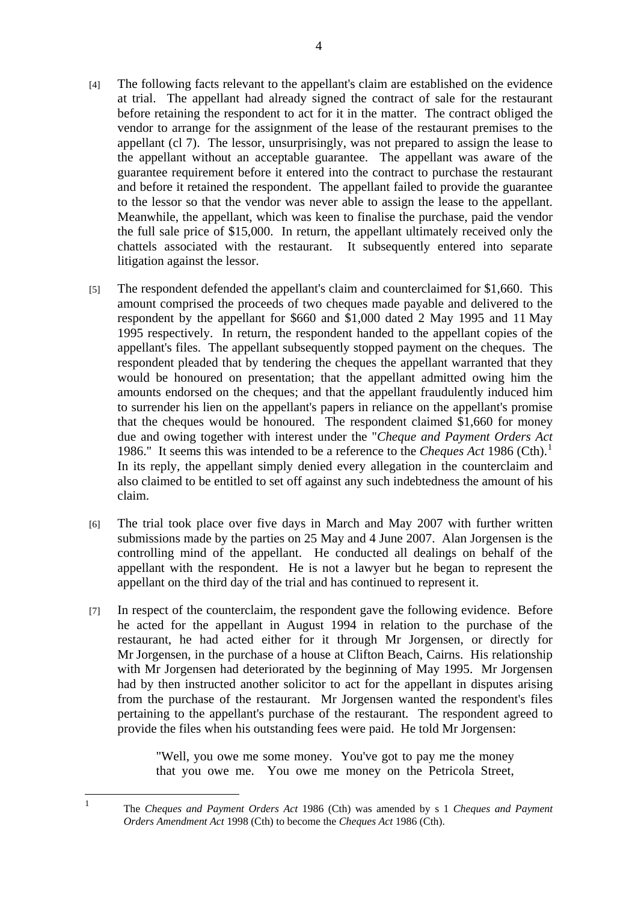- [4] The following facts relevant to the appellant's claim are established on the evidence at trial. The appellant had already signed the contract of sale for the restaurant before retaining the respondent to act for it in the matter. The contract obliged the vendor to arrange for the assignment of the lease of the restaurant premises to the appellant (cl 7). The lessor, unsurprisingly, was not prepared to assign the lease to the appellant without an acceptable guarantee. The appellant was aware of the guarantee requirement before it entered into the contract to purchase the restaurant and before it retained the respondent. The appellant failed to provide the guarantee to the lessor so that the vendor was never able to assign the lease to the appellant. Meanwhile, the appellant, which was keen to finalise the purchase, paid the vendor the full sale price of \$15,000. In return, the appellant ultimately received only the chattels associated with the restaurant. It subsequently entered into separate litigation against the lessor.
- [5] The respondent defended the appellant's claim and counterclaimed for \$1,660. This amount comprised the proceeds of two cheques made payable and delivered to the respondent by the appellant for \$660 and \$1,000 dated 2 May 1995 and 11 May 1995 respectively. In return, the respondent handed to the appellant copies of the appellant's files. The appellant subsequently stopped payment on the cheques. The respondent pleaded that by tendering the cheques the appellant warranted that they would be honoured on presentation; that the appellant admitted owing him the amounts endorsed on the cheques; and that the appellant fraudulently induced him to surrender his lien on the appellant's papers in reliance on the appellant's promise that the cheques would be honoured. The respondent claimed \$1,660 for money due and owing together with interest under the "*Cheque and Payment Orders Act*  1986." It seems this was intended to be a reference to the *Cheques Act* 1986 (Cth).<sup>1</sup> In its reply, the appellant simply denied every allegation in the counterclaim and also claimed to be entitled to set off against any such indebtedness the amount of his claim.
- [6] The trial took place over five days in March and May 2007 with further written submissions made by the parties on 25 May and 4 June 2007. Alan Jorgensen is the controlling mind of the appellant. He conducted all dealings on behalf of the appellant with the respondent. He is not a lawyer but he began to represent the appellant on the third day of the trial and has continued to represent it.
- [7] In respect of the counterclaim, the respondent gave the following evidence. Before he acted for the appellant in August 1994 in relation to the purchase of the restaurant, he had acted either for it through Mr Jorgensen, or directly for Mr Jorgensen, in the purchase of a house at Clifton Beach, Cairns. His relationship with Mr Jorgensen had deteriorated by the beginning of May 1995. Mr Jorgensen had by then instructed another solicitor to act for the appellant in disputes arising from the purchase of the restaurant. Mr Jorgensen wanted the respondent's files pertaining to the appellant's purchase of the restaurant. The respondent agreed to provide the files when his outstanding fees were paid. He told Mr Jorgensen:

"Well, you owe me some money. You've got to pay me the money that you owe me. You owe me money on the Petricola Street,

 The *Cheques and Payment Orders Act* 1986 (Cth) was amended by s 1 *Cheques and Payment Orders Amendment Act* 1998 (Cth) to become the *Cheques Act* 1986 (Cth).

 $\frac{1}{1}$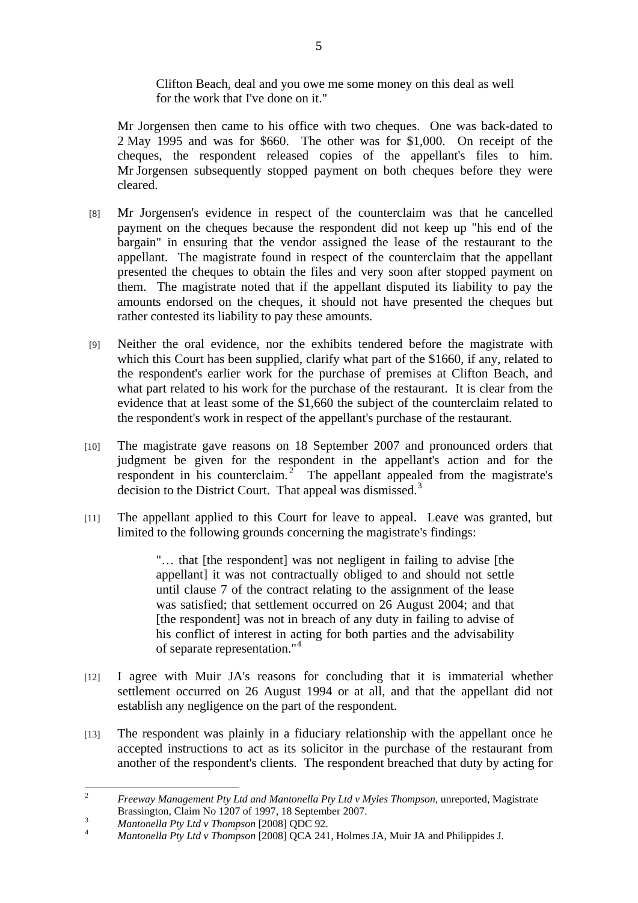Clifton Beach, deal and you owe me some money on this deal as well for the work that I've done on it."

Mr Jorgensen then came to his office with two cheques. One was back-dated to 2 May 1995 and was for \$660. The other was for \$1,000. On receipt of the cheques, the respondent released copies of the appellant's files to him. Mr Jorgensen subsequently stopped payment on both cheques before they were cleared.

- [8] Mr Jorgensen's evidence in respect of the counterclaim was that he cancelled payment on the cheques because the respondent did not keep up "his end of the bargain" in ensuring that the vendor assigned the lease of the restaurant to the appellant. The magistrate found in respect of the counterclaim that the appellant presented the cheques to obtain the files and very soon after stopped payment on them. The magistrate noted that if the appellant disputed its liability to pay the amounts endorsed on the cheques, it should not have presented the cheques but rather contested its liability to pay these amounts.
- [9] Neither the oral evidence, nor the exhibits tendered before the magistrate with which this Court has been supplied, clarify what part of the \$1660, if any, related to the respondent's earlier work for the purchase of premises at Clifton Beach, and what part related to his work for the purchase of the restaurant. It is clear from the evidence that at least some of the \$1,660 the subject of the counterclaim related to the respondent's work in respect of the appellant's purchase of the restaurant.
- [10] The magistrate gave reasons on 18 September 2007 and pronounced orders that judgment be given for the respondent in the appellant's action and for the respondent in his counterclaim.<sup>2</sup> The appellant appealed from the magistrate's decision to the District Court. That appeal was dismissed.<sup>3</sup>
- [11] The appellant applied to this Court for leave to appeal. Leave was granted, but limited to the following grounds concerning the magistrate's findings:

"… that [the respondent] was not negligent in failing to advise [the appellant] it was not contractually obliged to and should not settle until clause 7 of the contract relating to the assignment of the lease was satisfied; that settlement occurred on 26 August 2004; and that [the respondent] was not in breach of any duty in failing to advise of his conflict of interest in acting for both parties and the advisability of separate representation."<sup>4</sup>

- [12] I agree with Muir JA's reasons for concluding that it is immaterial whether settlement occurred on 26 August 1994 or at all, and that the appellant did not establish any negligence on the part of the respondent.
- [13] The respondent was plainly in a fiduciary relationship with the appellant once he accepted instructions to act as its solicitor in the purchase of the restaurant from another of the respondent's clients. The respondent breached that duty by acting for

 $\frac{1}{2}$  *Freeway Management Pty Ltd and Mantonella Pty Ltd v Myles Thompson*, unreported, Magistrate Brassington, Claim No 1207 of 1997, 18 September 2007.

*Mantonella Pty Ltd v Thompson* [2008] QDC 92. 4

*Mantonella Pty Ltd v Thompson* [2008] QCA 241, Holmes JA, Muir JA and Philippides J.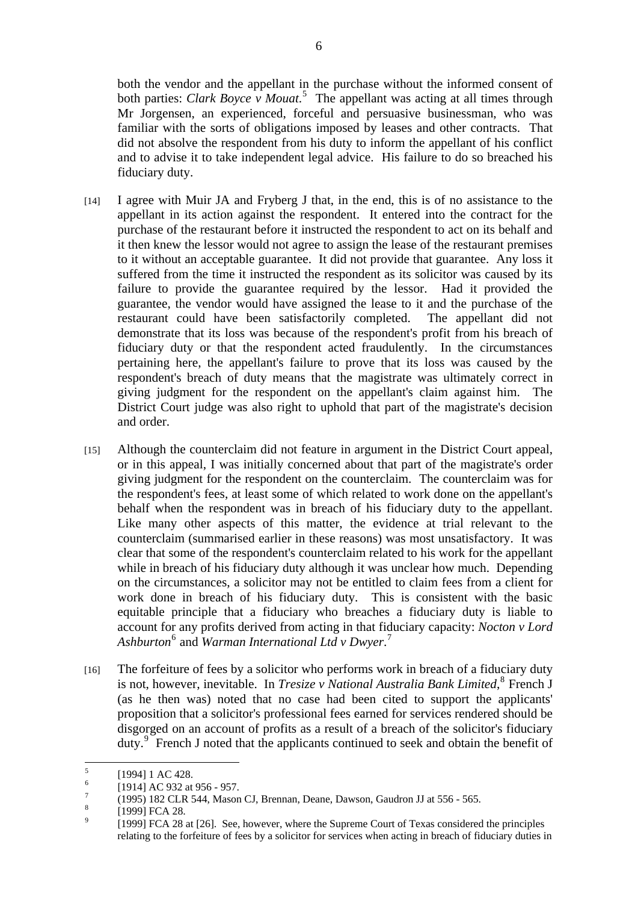both the vendor and the appellant in the purchase without the informed consent of both parties: *Clark Boyce v Mouat*. 5 The appellant was acting at all times through Mr Jorgensen, an experienced, forceful and persuasive businessman, who was familiar with the sorts of obligations imposed by leases and other contracts. That did not absolve the respondent from his duty to inform the appellant of his conflict and to advise it to take independent legal advice. His failure to do so breached his fiduciary duty.

- [14] I agree with Muir JA and Fryberg J that, in the end, this is of no assistance to the appellant in its action against the respondent. It entered into the contract for the purchase of the restaurant before it instructed the respondent to act on its behalf and it then knew the lessor would not agree to assign the lease of the restaurant premises to it without an acceptable guarantee. It did not provide that guarantee. Any loss it suffered from the time it instructed the respondent as its solicitor was caused by its failure to provide the guarantee required by the lessor. Had it provided the guarantee, the vendor would have assigned the lease to it and the purchase of the restaurant could have been satisfactorily completed. The appellant did not demonstrate that its loss was because of the respondent's profit from his breach of fiduciary duty or that the respondent acted fraudulently. In the circumstances pertaining here, the appellant's failure to prove that its loss was caused by the respondent's breach of duty means that the magistrate was ultimately correct in giving judgment for the respondent on the appellant's claim against him. The District Court judge was also right to uphold that part of the magistrate's decision and order.
- [15] Although the counterclaim did not feature in argument in the District Court appeal, or in this appeal, I was initially concerned about that part of the magistrate's order giving judgment for the respondent on the counterclaim. The counterclaim was for the respondent's fees, at least some of which related to work done on the appellant's behalf when the respondent was in breach of his fiduciary duty to the appellant. Like many other aspects of this matter, the evidence at trial relevant to the counterclaim (summarised earlier in these reasons) was most unsatisfactory. It was clear that some of the respondent's counterclaim related to his work for the appellant while in breach of his fiduciary duty although it was unclear how much. Depending on the circumstances, a solicitor may not be entitled to claim fees from a client for work done in breach of his fiduciary duty. This is consistent with the basic equitable principle that a fiduciary who breaches a fiduciary duty is liable to account for any profits derived from acting in that fiduciary capacity: *Nocton v Lord*  Ashburton<sup>6</sup> and *Warman International Ltd v Dwyer*.<sup>7</sup>
- [16] The forfeiture of fees by a solicitor who performs work in breach of a fiduciary duty is not, however, inevitable. In *Tresize v National Australia Bank Limited*, <sup>8</sup> French J (as he then was) noted that no case had been cited to support the applicants' proposition that a solicitor's professional fees earned for services rendered should be disgorged on an account of profits as a result of a breach of the solicitor's fiduciary duty.<sup>9</sup> French J noted that the applicants continued to seek and obtain the benefit of

 $\frac{1}{5}$ [1994] 1 AC 428.

<sup>6</sup> [1914] AC 932 at 956 - 957.

<sup>7</sup> (1995) 182 CLR 544, Mason CJ, Brennan, Deane, Dawson, Gaudron JJ at 556 - 565.

<sup>8</sup> [1999] FCA 28.

<sup>9</sup> [1999] FCA 28 at [26]. See, however, where the Supreme Court of Texas considered the principles relating to the forfeiture of fees by a solicitor for services when acting in breach of fiduciary duties in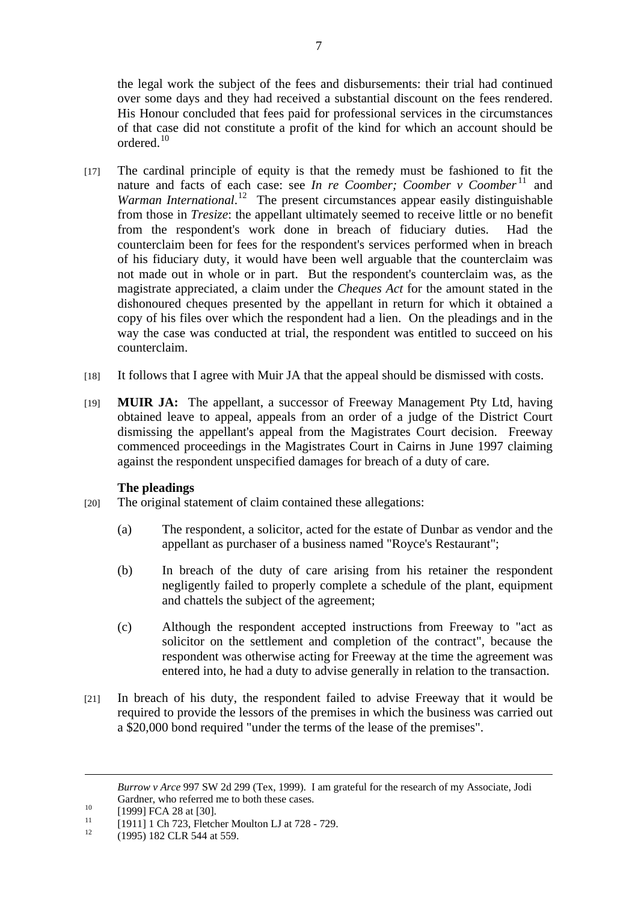the legal work the subject of the fees and disbursements: their trial had continued over some days and they had received a substantial discount on the fees rendered. His Honour concluded that fees paid for professional services in the circumstances of that case did not constitute a profit of the kind for which an account should be ordered.<sup>10</sup>

- [17] The cardinal principle of equity is that the remedy must be fashioned to fit the nature and facts of each case: see *In re Coomber*; *Coomber v Coomber*<sup>11</sup> and Warman International.<sup>12</sup> The present circumstances appear easily distinguishable from those in *Tresize*: the appellant ultimately seemed to receive little or no benefit from the respondent's work done in breach of fiduciary duties. Had the counterclaim been for fees for the respondent's services performed when in breach of his fiduciary duty, it would have been well arguable that the counterclaim was not made out in whole or in part. But the respondent's counterclaim was, as the magistrate appreciated, a claim under the *Cheques Act* for the amount stated in the dishonoured cheques presented by the appellant in return for which it obtained a copy of his files over which the respondent had a lien. On the pleadings and in the way the case was conducted at trial, the respondent was entitled to succeed on his counterclaim.
- [18] It follows that I agree with Muir JA that the appeal should be dismissed with costs.
- [19] **MUIR JA:** The appellant, a successor of Freeway Management Pty Ltd, having obtained leave to appeal, appeals from an order of a judge of the District Court dismissing the appellant's appeal from the Magistrates Court decision. Freeway commenced proceedings in the Magistrates Court in Cairns in June 1997 claiming against the respondent unspecified damages for breach of a duty of care.

## **The pleadings**

- [20] The original statement of claim contained these allegations:
	- (a) The respondent, a solicitor, acted for the estate of Dunbar as vendor and the appellant as purchaser of a business named "Royce's Restaurant";
	- (b) In breach of the duty of care arising from his retainer the respondent negligently failed to properly complete a schedule of the plant, equipment and chattels the subject of the agreement;
	- (c) Although the respondent accepted instructions from Freeway to "act as solicitor on the settlement and completion of the contract", because the respondent was otherwise acting for Freeway at the time the agreement was entered into, he had a duty to advise generally in relation to the transaction.
- [21] In breach of his duty, the respondent failed to advise Freeway that it would be required to provide the lessors of the premises in which the business was carried out a \$20,000 bond required "under the terms of the lease of the premises".

1

*Burrow v Arce* 997 SW 2d 299 (Tex, 1999). I am grateful for the research of my Associate, Jodi Gardner, who referred me to both these cases.<br>[1999] FCA 28 at [30].<br> $\frac{11}{100}$  [1991] FCA 288 [19].

 $11$  [1911] 1 Ch 723, Fletcher Moulton LJ at 728 - 729.

<sup>12 (1995) 182</sup> CLR 544 at 559.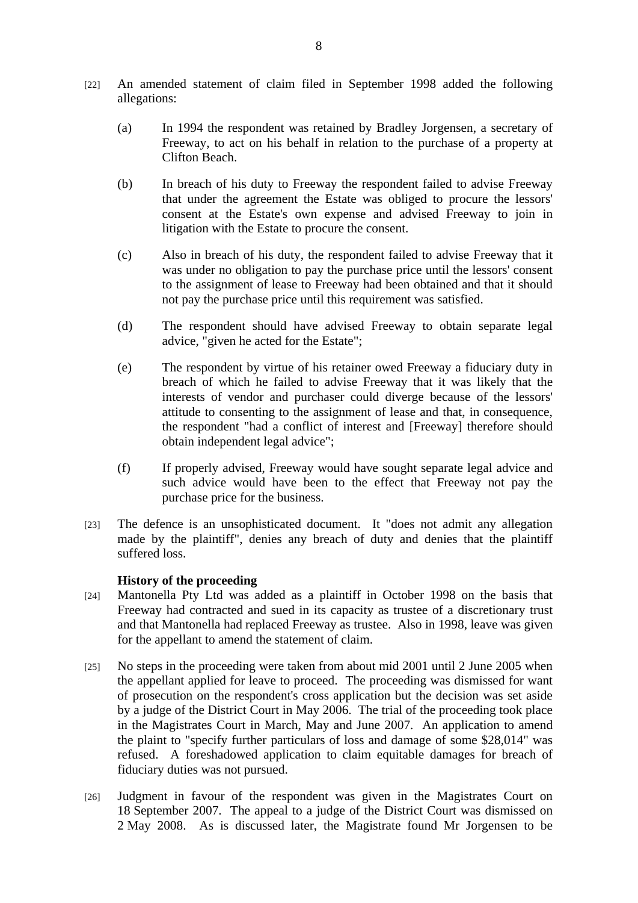- [22] An amended statement of claim filed in September 1998 added the following allegations:
	- (a) In 1994 the respondent was retained by Bradley Jorgensen, a secretary of Freeway, to act on his behalf in relation to the purchase of a property at Clifton Beach.
	- (b) In breach of his duty to Freeway the respondent failed to advise Freeway that under the agreement the Estate was obliged to procure the lessors' consent at the Estate's own expense and advised Freeway to join in litigation with the Estate to procure the consent.
	- (c) Also in breach of his duty, the respondent failed to advise Freeway that it was under no obligation to pay the purchase price until the lessors' consent to the assignment of lease to Freeway had been obtained and that it should not pay the purchase price until this requirement was satisfied.
	- (d) The respondent should have advised Freeway to obtain separate legal advice, "given he acted for the Estate";
	- (e) The respondent by virtue of his retainer owed Freeway a fiduciary duty in breach of which he failed to advise Freeway that it was likely that the interests of vendor and purchaser could diverge because of the lessors' attitude to consenting to the assignment of lease and that, in consequence, the respondent "had a conflict of interest and [Freeway] therefore should obtain independent legal advice";
	- (f) If properly advised, Freeway would have sought separate legal advice and such advice would have been to the effect that Freeway not pay the purchase price for the business.
- [23] The defence is an unsophisticated document. It "does not admit any allegation made by the plaintiff", denies any breach of duty and denies that the plaintiff suffered loss.

## **History of the proceeding**

- [24] Mantonella Pty Ltd was added as a plaintiff in October 1998 on the basis that Freeway had contracted and sued in its capacity as trustee of a discretionary trust and that Mantonella had replaced Freeway as trustee. Also in 1998, leave was given for the appellant to amend the statement of claim.
- [25] No steps in the proceeding were taken from about mid 2001 until 2 June 2005 when the appellant applied for leave to proceed. The proceeding was dismissed for want of prosecution on the respondent's cross application but the decision was set aside by a judge of the District Court in May 2006. The trial of the proceeding took place in the Magistrates Court in March, May and June 2007. An application to amend the plaint to "specify further particulars of loss and damage of some \$28,014" was refused. A foreshadowed application to claim equitable damages for breach of fiduciary duties was not pursued.
- [26] Judgment in favour of the respondent was given in the Magistrates Court on 18 September 2007. The appeal to a judge of the District Court was dismissed on 2 May 2008. As is discussed later, the Magistrate found Mr Jorgensen to be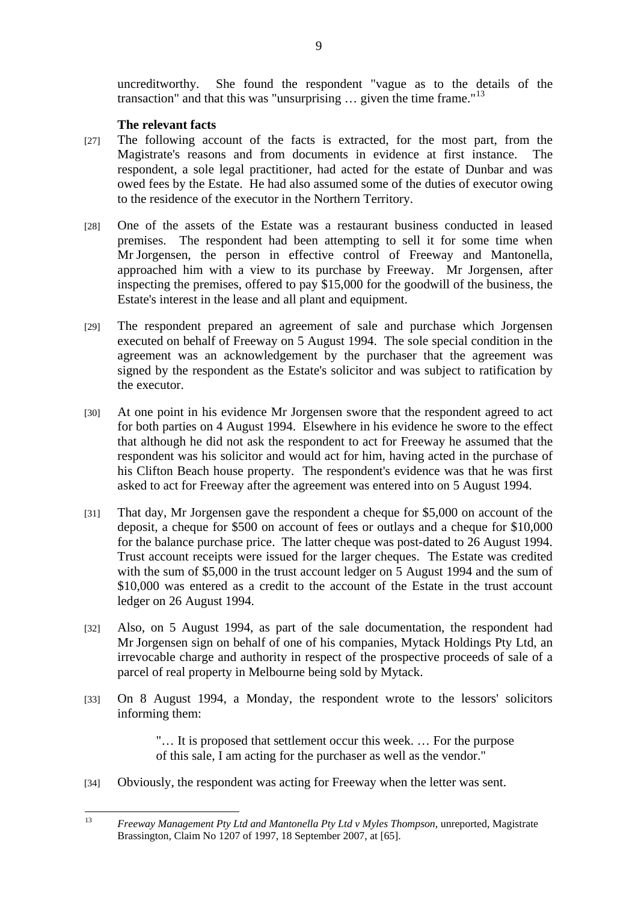uncreditworthy. She found the respondent "vague as to the details of the transaction" and that this was "unsurprising  $\ldots$  given the time frame."<sup>13</sup>

## **The relevant facts**

- [27] The following account of the facts is extracted, for the most part, from the Magistrate's reasons and from documents in evidence at first instance. The respondent, a sole legal practitioner, had acted for the estate of Dunbar and was owed fees by the Estate. He had also assumed some of the duties of executor owing to the residence of the executor in the Northern Territory.
- [28] One of the assets of the Estate was a restaurant business conducted in leased premises. The respondent had been attempting to sell it for some time when Mr Jorgensen, the person in effective control of Freeway and Mantonella, approached him with a view to its purchase by Freeway. Mr Jorgensen, after inspecting the premises, offered to pay \$15,000 for the goodwill of the business, the Estate's interest in the lease and all plant and equipment.
- [29] The respondent prepared an agreement of sale and purchase which Jorgensen executed on behalf of Freeway on 5 August 1994. The sole special condition in the agreement was an acknowledgement by the purchaser that the agreement was signed by the respondent as the Estate's solicitor and was subject to ratification by the executor.
- [30] At one point in his evidence Mr Jorgensen swore that the respondent agreed to act for both parties on 4 August 1994. Elsewhere in his evidence he swore to the effect that although he did not ask the respondent to act for Freeway he assumed that the respondent was his solicitor and would act for him, having acted in the purchase of his Clifton Beach house property. The respondent's evidence was that he was first asked to act for Freeway after the agreement was entered into on 5 August 1994.
- [31] That day, Mr Jorgensen gave the respondent a cheque for \$5,000 on account of the deposit, a cheque for \$500 on account of fees or outlays and a cheque for \$10,000 for the balance purchase price. The latter cheque was post-dated to 26 August 1994. Trust account receipts were issued for the larger cheques. The Estate was credited with the sum of \$5,000 in the trust account ledger on 5 August 1994 and the sum of \$10,000 was entered as a credit to the account of the Estate in the trust account ledger on 26 August 1994.
- [32] Also, on 5 August 1994, as part of the sale documentation, the respondent had Mr Jorgensen sign on behalf of one of his companies, Mytack Holdings Pty Ltd, an irrevocable charge and authority in respect of the prospective proceeds of sale of a parcel of real property in Melbourne being sold by Mytack.
- [33] On 8 August 1994, a Monday, the respondent wrote to the lessors' solicitors informing them:

"… It is proposed that settlement occur this week. … For the purpose of this sale, I am acting for the purchaser as well as the vendor."

[34] Obviously, the respondent was acting for Freeway when the letter was sent.

 $13<sup>°</sup>$ 13 *Freeway Management Pty Ltd and Mantonella Pty Ltd v Myles Thompson*, unreported, Magistrate Brassington, Claim No 1207 of 1997, 18 September 2007, at [65].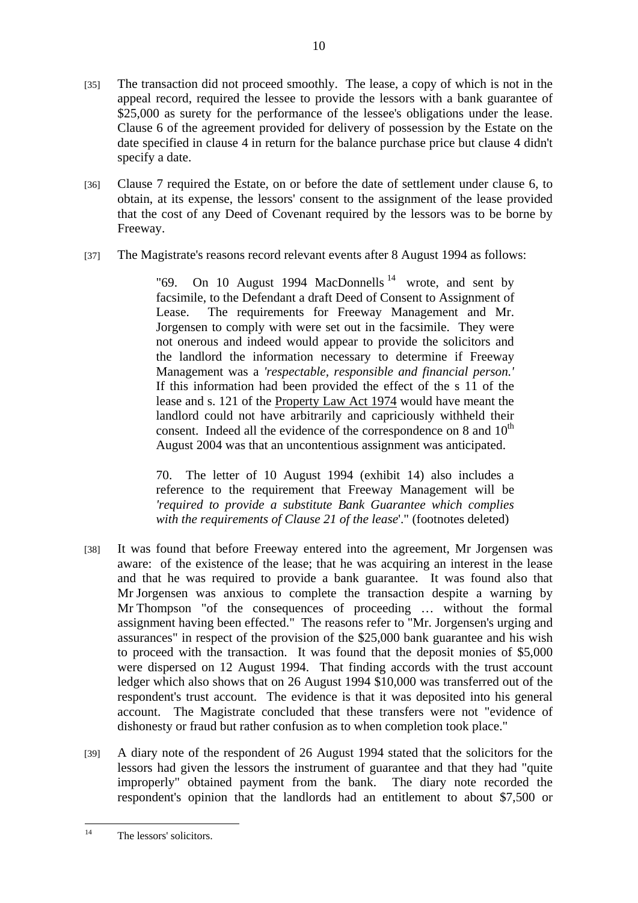[35] The transaction did not proceed smoothly. The lease, a copy of which is not in the appeal record, required the lessee to provide the lessors with a bank guarantee of \$25,000 as surety for the performance of the lessee's obligations under the lease. Clause 6 of the agreement provided for delivery of possession by the Estate on the date specified in clause 4 in return for the balance purchase price but clause 4 didn't specify a date.

10

- [36] Clause 7 required the Estate, on or before the date of settlement under clause 6, to obtain, at its expense, the lessors' consent to the assignment of the lease provided that the cost of any Deed of Covenant required by the lessors was to be borne by Freeway.
- [37] The Magistrate's reasons record relevant events after 8 August 1994 as follows:

"69. On 10 August 1994 MacDonnells  $14$  wrote, and sent by facsimile, to the Defendant a draft Deed of Consent to Assignment of Lease. The requirements for Freeway Management and Mr. Jorgensen to comply with were set out in the facsimile. They were not onerous and indeed would appear to provide the solicitors and the landlord the information necessary to determine if Freeway Management was a *'respectable, responsible and financial person.'*  If this information had been provided the effect of the s 11 of the lease and s. 121 of the Property Law Act 1974 would have meant the landlord could not have arbitrarily and capriciously withheld their consent. Indeed all the evidence of the correspondence on 8 and  $10<sup>th</sup>$ August 2004 was that an uncontentious assignment was anticipated.

70. The letter of 10 August 1994 (exhibit 14) also includes a reference to the requirement that Freeway Management will be *'required to provide a substitute Bank Guarantee which complies with the requirements of Clause 21 of the lease*'." (footnotes deleted)

- [38] It was found that before Freeway entered into the agreement, Mr Jorgensen was aware: of the existence of the lease; that he was acquiring an interest in the lease and that he was required to provide a bank guarantee. It was found also that Mr Jorgensen was anxious to complete the transaction despite a warning by Mr Thompson "of the consequences of proceeding … without the formal assignment having been effected." The reasons refer to "Mr. Jorgensen's urging and assurances" in respect of the provision of the \$25,000 bank guarantee and his wish to proceed with the transaction. It was found that the deposit monies of \$5,000 were dispersed on 12 August 1994. That finding accords with the trust account ledger which also shows that on 26 August 1994 \$10,000 was transferred out of the respondent's trust account. The evidence is that it was deposited into his general account. The Magistrate concluded that these transfers were not "evidence of dishonesty or fraud but rather confusion as to when completion took place."
- [39] A diary note of the respondent of 26 August 1994 stated that the solicitors for the lessors had given the lessors the instrument of guarantee and that they had "quite improperly" obtained payment from the bank. The diary note recorded the respondent's opinion that the landlords had an entitlement to about \$7,500 or

 $14$ The lessors' solicitors.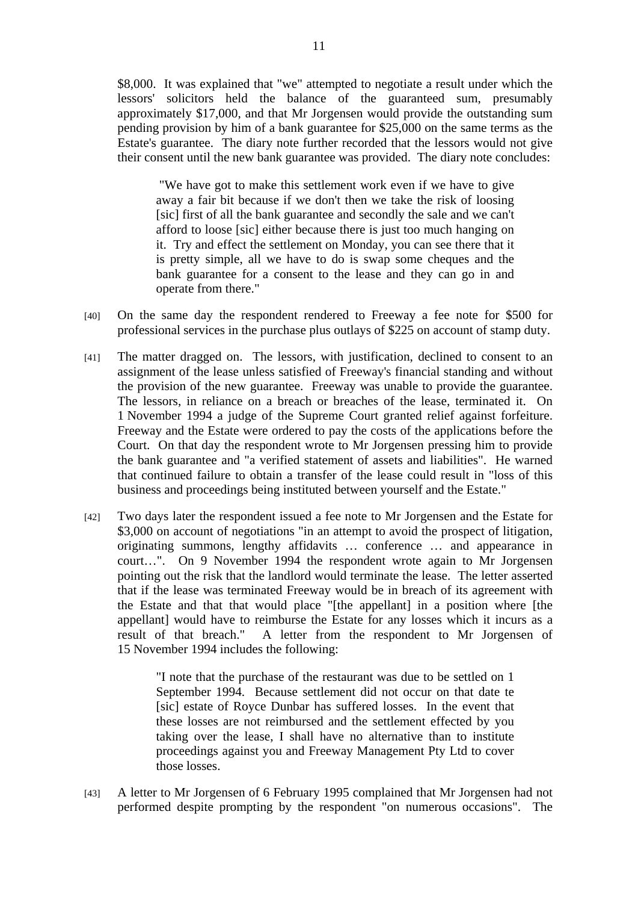\$8,000. It was explained that "we" attempted to negotiate a result under which the lessors' solicitors held the balance of the guaranteed sum, presumably approximately \$17,000, and that Mr Jorgensen would provide the outstanding sum pending provision by him of a bank guarantee for \$25,000 on the same terms as the Estate's guarantee. The diary note further recorded that the lessors would not give their consent until the new bank guarantee was provided. The diary note concludes:

 "We have got to make this settlement work even if we have to give away a fair bit because if we don't then we take the risk of loosing [sic] first of all the bank guarantee and secondly the sale and we can't afford to loose [sic] either because there is just too much hanging on it. Try and effect the settlement on Monday, you can see there that it is pretty simple, all we have to do is swap some cheques and the bank guarantee for a consent to the lease and they can go in and operate from there."

- [40] On the same day the respondent rendered to Freeway a fee note for \$500 for professional services in the purchase plus outlays of \$225 on account of stamp duty.
- [41] The matter dragged on. The lessors, with justification, declined to consent to an assignment of the lease unless satisfied of Freeway's financial standing and without the provision of the new guarantee. Freeway was unable to provide the guarantee. The lessors, in reliance on a breach or breaches of the lease, terminated it. On 1 November 1994 a judge of the Supreme Court granted relief against forfeiture. Freeway and the Estate were ordered to pay the costs of the applications before the Court. On that day the respondent wrote to Mr Jorgensen pressing him to provide the bank guarantee and "a verified statement of assets and liabilities". He warned that continued failure to obtain a transfer of the lease could result in "loss of this business and proceedings being instituted between yourself and the Estate."
- [42] Two days later the respondent issued a fee note to Mr Jorgensen and the Estate for \$3,000 on account of negotiations "in an attempt to avoid the prospect of litigation, originating summons, lengthy affidavits … conference … and appearance in court…". On 9 November 1994 the respondent wrote again to Mr Jorgensen pointing out the risk that the landlord would terminate the lease. The letter asserted that if the lease was terminated Freeway would be in breach of its agreement with the Estate and that that would place "[the appellant] in a position where [the appellant] would have to reimburse the Estate for any losses which it incurs as a result of that breach." A letter from the respondent to Mr Jorgensen of 15 November 1994 includes the following:

"I note that the purchase of the restaurant was due to be settled on 1 September 1994. Because settlement did not occur on that date te [sic] estate of Royce Dunbar has suffered losses. In the event that these losses are not reimbursed and the settlement effected by you taking over the lease, I shall have no alternative than to institute proceedings against you and Freeway Management Pty Ltd to cover those losses.

[43] A letter to Mr Jorgensen of 6 February 1995 complained that Mr Jorgensen had not performed despite prompting by the respondent "on numerous occasions". The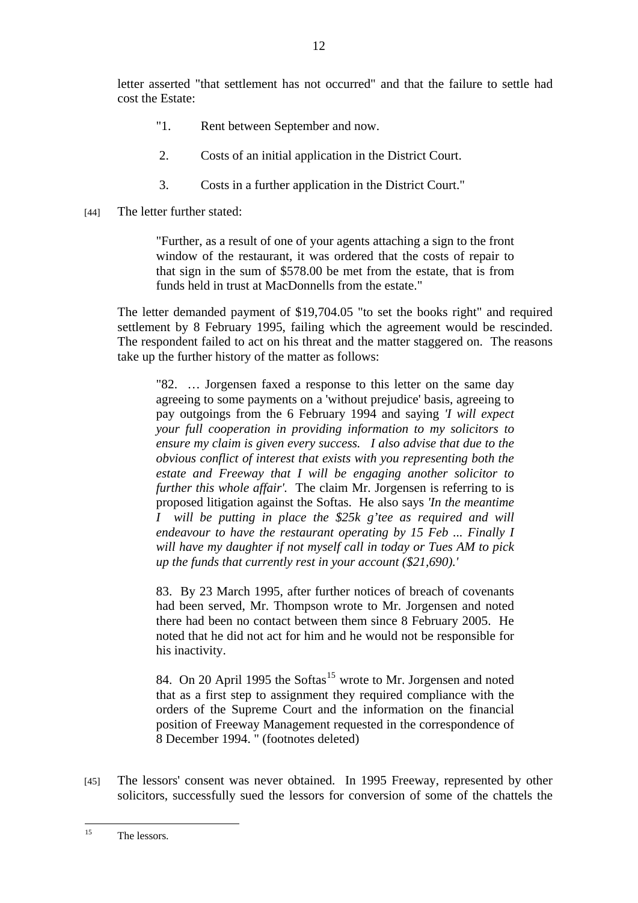letter asserted "that settlement has not occurred" and that the failure to settle had cost the Estate:

- "1. Rent between September and now.
- 2. Costs of an initial application in the District Court.
- 3. Costs in a further application in the District Court."
- [44] The letter further stated:

"Further, as a result of one of your agents attaching a sign to the front window of the restaurant, it was ordered that the costs of repair to that sign in the sum of \$578.00 be met from the estate, that is from funds held in trust at MacDonnells from the estate."

The letter demanded payment of \$19,704.05 "to set the books right" and required settlement by 8 February 1995, failing which the agreement would be rescinded. The respondent failed to act on his threat and the matter staggered on. The reasons take up the further history of the matter as follows:

"82. … Jorgensen faxed a response to this letter on the same day agreeing to some payments on a 'without prejudice' basis, agreeing to pay outgoings from the 6 February 1994 and saying *'I will expect your full cooperation in providing information to my solicitors to ensure my claim is given every success. I also advise that due to the obvious conflict of interest that exists with you representing both the estate and Freeway that I will be engaging another solicitor to further this whole affair'.* The claim Mr. Jorgensen is referring to is proposed litigation against the Softas. He also says *'In the meantime I will be putting in place the \$25k g'tee as required and will endeavour to have the restaurant operating by 15 Feb ... Finally I will have my daughter if not myself call in today or Tues AM to pick up the funds that currently rest in your account (\$21,690).'*

83. By 23 March 1995, after further notices of breach of covenants had been served, Mr. Thompson wrote to Mr. Jorgensen and noted there had been no contact between them since 8 February 2005. He noted that he did not act for him and he would not be responsible for his inactivity.

84. On 20 April 1995 the Softas<sup>15</sup> wrote to Mr. Jorgensen and noted that as a first step to assignment they required compliance with the orders of the Supreme Court and the information on the financial position of Freeway Management requested in the correspondence of 8 December 1994. " (footnotes deleted)

[45] The lessors' consent was never obtained. In 1995 Freeway, represented by other solicitors, successfully sued the lessors for conversion of some of the chattels the

 $15$ The lessors.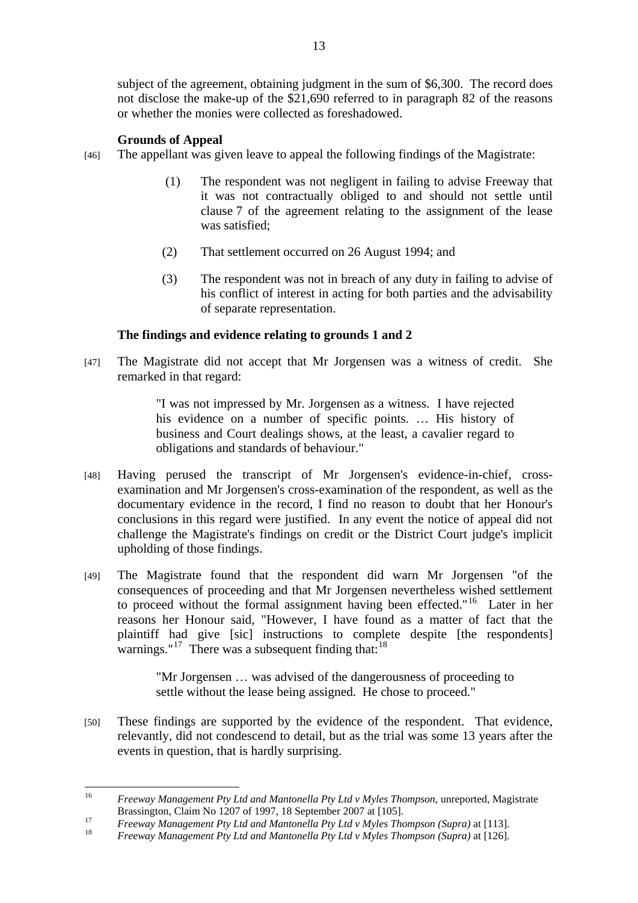subject of the agreement, obtaining judgment in the sum of \$6,300. The record does not disclose the make-up of the \$21,690 referred to in paragraph 82 of the reasons or whether the monies were collected as foreshadowed.

# **Grounds of Appeal**

- [46] The appellant was given leave to appeal the following findings of the Magistrate:
	- (1) The respondent was not negligent in failing to advise Freeway that it was not contractually obliged to and should not settle until clause 7 of the agreement relating to the assignment of the lease was satisfied;
	- (2) That settlement occurred on 26 August 1994; and
	- (3) The respondent was not in breach of any duty in failing to advise of his conflict of interest in acting for both parties and the advisability of separate representation.

# **The findings and evidence relating to grounds 1 and 2**

[47] The Magistrate did not accept that Mr Jorgensen was a witness of credit. She remarked in that regard:

> "I was not impressed by Mr. Jorgensen as a witness. I have rejected his evidence on a number of specific points. ... His history of business and Court dealings shows, at the least, a cavalier regard to obligations and standards of behaviour."

- [48] Having perused the transcript of Mr Jorgensen's evidence-in-chief, crossexamination and Mr Jorgensen's cross-examination of the respondent, as well as the documentary evidence in the record, I find no reason to doubt that her Honour's conclusions in this regard were justified. In any event the notice of appeal did not challenge the Magistrate's findings on credit or the District Court judge's implicit upholding of those findings.
- [49] The Magistrate found that the respondent did warn Mr Jorgensen "of the consequences of proceeding and that Mr Jorgensen nevertheless wished settlement to proceed without the formal assignment having been effected."16 Later in her reasons her Honour said, "However, I have found as a matter of fact that the plaintiff had give [sic] instructions to complete despite [the respondents] warnings." $17$  There was a subsequent finding that:  $18$

"Mr Jorgensen … was advised of the dangerousness of proceeding to settle without the lease being assigned. He chose to proceed."

[50] These findings are supported by the evidence of the respondent. That evidence, relevantly, did not condescend to detail, but as the trial was some 13 years after the events in question, that is hardly surprising.

 $16$ 16 *Freeway Management Pty Ltd and Mantonella Pty Ltd v Myles Thompson*, unreported, Magistrate

Brassington, Claim No 1207 of 1997, 18 September 2007 at [105].<br>*Freeway Management Pty Ltd and Mantonella Pty Ltd v Myles Thompson (Supra)* at [113].<br><sup>18</sup> *Freeway Management Pty Ltd and Mantonella Pty Ltd v Myles Thompso*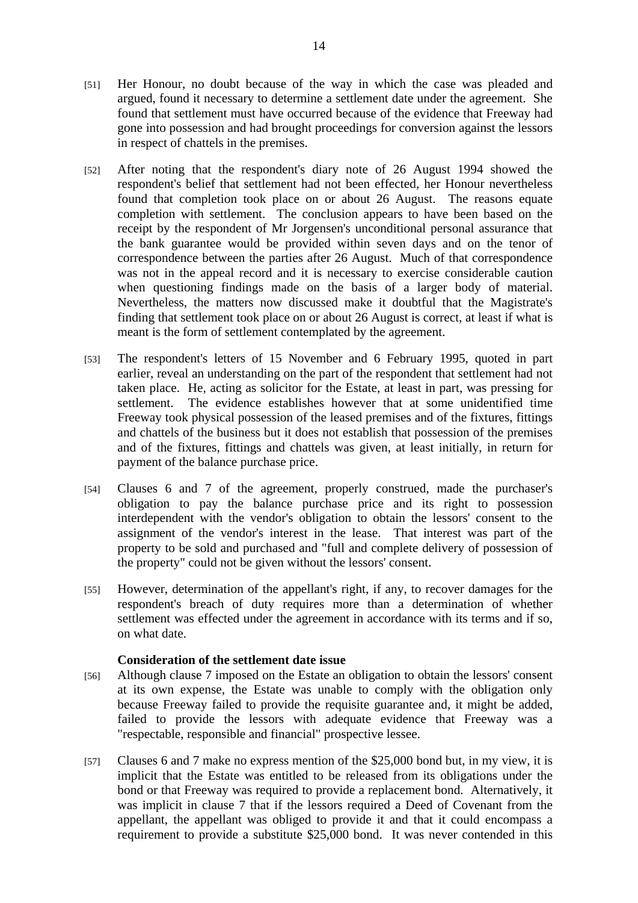- [51] Her Honour, no doubt because of the way in which the case was pleaded and argued, found it necessary to determine a settlement date under the agreement. She found that settlement must have occurred because of the evidence that Freeway had gone into possession and had brought proceedings for conversion against the lessors in respect of chattels in the premises.
- [52] After noting that the respondent's diary note of 26 August 1994 showed the respondent's belief that settlement had not been effected, her Honour nevertheless found that completion took place on or about 26 August. The reasons equate completion with settlement. The conclusion appears to have been based on the receipt by the respondent of Mr Jorgensen's unconditional personal assurance that the bank guarantee would be provided within seven days and on the tenor of correspondence between the parties after 26 August. Much of that correspondence was not in the appeal record and it is necessary to exercise considerable caution when questioning findings made on the basis of a larger body of material. Nevertheless, the matters now discussed make it doubtful that the Magistrate's finding that settlement took place on or about 26 August is correct, at least if what is meant is the form of settlement contemplated by the agreement.
- [53] The respondent's letters of 15 November and 6 February 1995, quoted in part earlier, reveal an understanding on the part of the respondent that settlement had not taken place. He, acting as solicitor for the Estate, at least in part, was pressing for settlement. The evidence establishes however that at some unidentified time Freeway took physical possession of the leased premises and of the fixtures, fittings and chattels of the business but it does not establish that possession of the premises and of the fixtures, fittings and chattels was given, at least initially, in return for payment of the balance purchase price.
- [54] Clauses 6 and 7 of the agreement, properly construed, made the purchaser's obligation to pay the balance purchase price and its right to possession interdependent with the vendor's obligation to obtain the lessors' consent to the assignment of the vendor's interest in the lease. That interest was part of the property to be sold and purchased and "full and complete delivery of possession of the property" could not be given without the lessors' consent.
- [55] However, determination of the appellant's right, if any, to recover damages for the respondent's breach of duty requires more than a determination of whether settlement was effected under the agreement in accordance with its terms and if so, on what date.

#### **Consideration of the settlement date issue**

- [56] Although clause 7 imposed on the Estate an obligation to obtain the lessors' consent at its own expense, the Estate was unable to comply with the obligation only because Freeway failed to provide the requisite guarantee and, it might be added, failed to provide the lessors with adequate evidence that Freeway was a "respectable, responsible and financial" prospective lessee.
- [57] Clauses 6 and 7 make no express mention of the \$25,000 bond but, in my view, it is implicit that the Estate was entitled to be released from its obligations under the bond or that Freeway was required to provide a replacement bond. Alternatively, it was implicit in clause 7 that if the lessors required a Deed of Covenant from the appellant, the appellant was obliged to provide it and that it could encompass a requirement to provide a substitute \$25,000 bond. It was never contended in this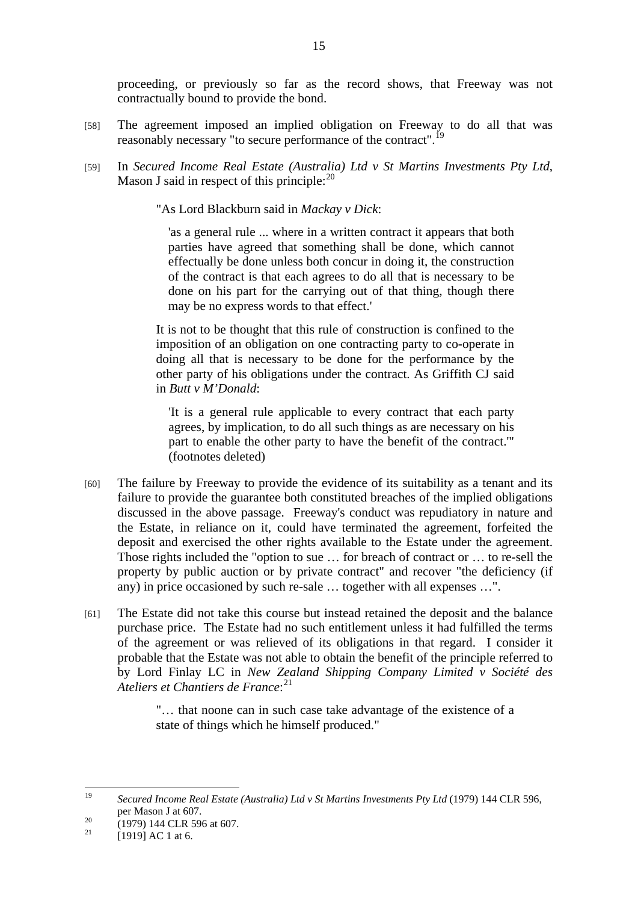proceeding, or previously so far as the record shows, that Freeway was not contractually bound to provide the bond.

- [58] The agreement imposed an implied obligation on Freeway to do all that was reasonably necessary "to secure performance of the contract".<sup>19</sup>
- [59] In *Secured Income Real Estate (Australia) Ltd v St Martins Investments Pty Ltd*, Mason J said in respect of this principle: $^{20}$

"As Lord Blackburn said in *Mackay v Dick*:

'as a general rule ... where in a written contract it appears that both parties have agreed that something shall be done, which cannot effectually be done unless both concur in doing it, the construction of the contract is that each agrees to do all that is necessary to be done on his part for the carrying out of that thing, though there may be no express words to that effect.'

It is not to be thought that this rule of construction is confined to the imposition of an obligation on one contracting party to co-operate in doing all that is necessary to be done for the performance by the other party of his obligations under the contract. As Griffith CJ said in *Butt v M'Donald*:

'It is a general rule applicable to every contract that each party agrees, by implication, to do all such things as are necessary on his part to enable the other party to have the benefit of the contract.'" (footnotes deleted)

- [60] The failure by Freeway to provide the evidence of its suitability as a tenant and its failure to provide the guarantee both constituted breaches of the implied obligations discussed in the above passage. Freeway's conduct was repudiatory in nature and the Estate, in reliance on it, could have terminated the agreement, forfeited the deposit and exercised the other rights available to the Estate under the agreement. Those rights included the "option to sue … for breach of contract or … to re-sell the property by public auction or by private contract" and recover "the deficiency (if any) in price occasioned by such re-sale … together with all expenses …".
- [61] The Estate did not take this course but instead retained the deposit and the balance purchase price. The Estate had no such entitlement unless it had fulfilled the terms of the agreement or was relieved of its obligations in that regard. I consider it probable that the Estate was not able to obtain the benefit of the principle referred to by Lord Finlay LC in *New Zealand Shipping Company Limited v Société des Ateliers et Chantiers de France*: 21

"… that noone can in such case take advantage of the existence of a state of things which he himself produced."

 $10$ 19 *Secured Income Real Estate (Australia) Ltd v St Martins Investments Pty Ltd* (1979) 144 CLR 596,

per Mason J at 607.<br>
<sup>20</sup> (1979) 144 CLR 596 at 607.<br>
<sup>21</sup> [1919] AC 1 at 6.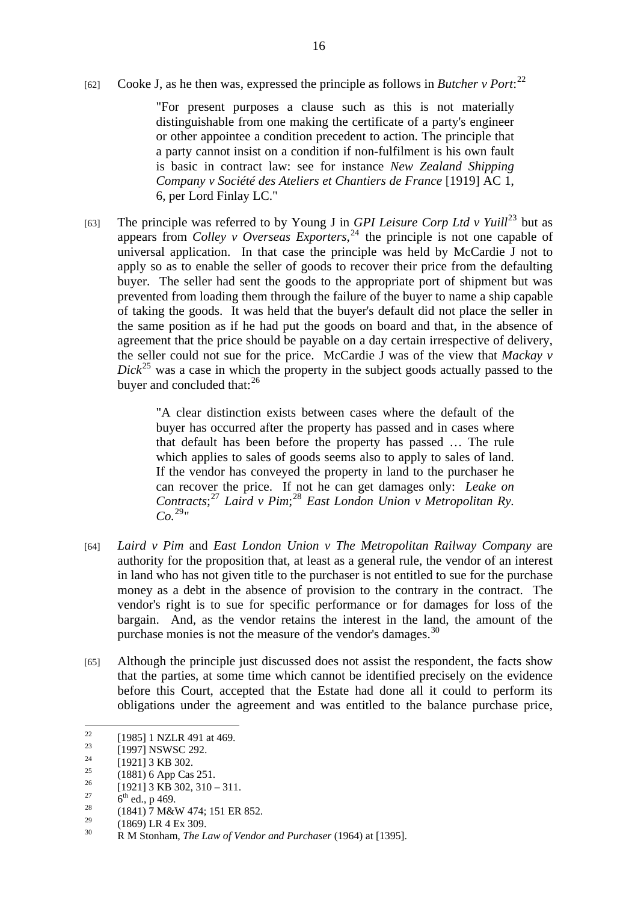[62] Cooke J, as he then was, expressed the principle as follows in *Butcher v Port*:<sup>22</sup>

"For present purposes a clause such as this is not materially distinguishable from one making the certificate of a party's engineer or other appointee a condition precedent to action. The principle that a party cannot insist on a condition if non-fulfilment is his own fault is basic in contract law: see for instance *New Zealand Shipping Company v Société des Ateliers et Chantiers de France* [1919] AC 1, 6, per Lord Finlay LC."

[63] The principle was referred to by Young J in *GPI Leisure Corp Ltd v Yuill*<sup>23</sup> but as appears from *Colley v Overseas Exporters*, 24 the principle is not one capable of universal application. In that case the principle was held by McCardie J not to apply so as to enable the seller of goods to recover their price from the defaulting buyer. The seller had sent the goods to the appropriate port of shipment but was prevented from loading them through the failure of the buyer to name a ship capable of taking the goods. It was held that the buyer's default did not place the seller in the same position as if he had put the goods on board and that, in the absence of agreement that the price should be payable on a day certain irrespective of delivery, the seller could not sue for the price. McCardie J was of the view that *Mackay v*   $Dick^{25}$  was a case in which the property in the subject goods actually passed to the buyer and concluded that:<sup>26</sup>

> "A clear distinction exists between cases where the default of the buyer has occurred after the property has passed and in cases where that default has been before the property has passed … The rule which applies to sales of goods seems also to apply to sales of land. If the vendor has conveyed the property in land to the purchaser he can recover the price. If not he can get damages only: *Leake on Contracts*; <sup>27</sup> *Laird v Pim*; <sup>28</sup> *East London Union v Metropolitan Ry.*   $Co^{29}$ "

- [64] *Laird v Pim* and *East London Union v The Metropolitan Railway Company* are authority for the proposition that, at least as a general rule, the vendor of an interest in land who has not given title to the purchaser is not entitled to sue for the purchase money as a debt in the absence of provision to the contrary in the contract. The vendor's right is to sue for specific performance or for damages for loss of the bargain. And, as the vendor retains the interest in the land, the amount of the purchase monies is not the measure of the vendor's damages. $30$
- [65] Although the principle just discussed does not assist the respondent, the facts show that the parties, at some time which cannot be identified precisely on the evidence before this Court, accepted that the Estate had done all it could to perform its obligations under the agreement and was entitled to the balance purchase price,

 $22$ <sup>22</sup> [1985] 1 NZLR 491 at 469.

 $\frac{23}{24}$  [1997] NSWSC 292.

 $^{24}$  [1921] 3 KB 302.

<sup>&</sup>lt;sup>25</sup> (1881) 6 App Cas 251.<br><sup>26</sup> [1921] 2 KD 292, 210.

 $^{26}$  [1921] 3 KB 302, 310 – 311.

<sup>&</sup>lt;sup>27</sup> 6<sup>th</sup> ed., p 469.<br>
(1841) 7 M&W 474; 151 ER 852.

 $^{29}$  (1869) LR 4 Ex 309.

<sup>30</sup> R M Stonham*, The Law of Vendor and Purchaser* (1964) at [1395].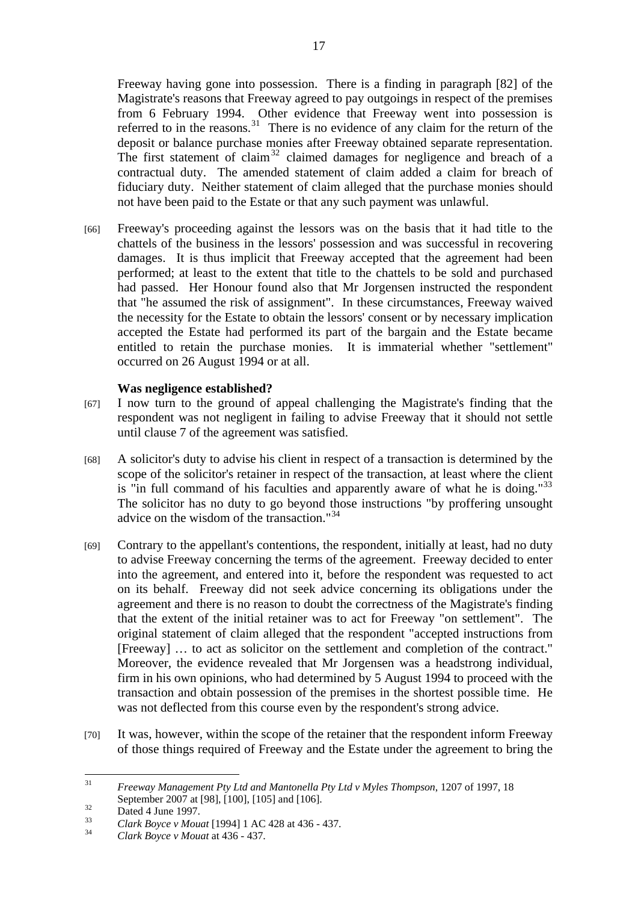Freeway having gone into possession. There is a finding in paragraph [82] of the Magistrate's reasons that Freeway agreed to pay outgoings in respect of the premises from 6 February 1994. Other evidence that Freeway went into possession is referred to in the reasons.<sup>31</sup> There is no evidence of any claim for the return of the deposit or balance purchase monies after Freeway obtained separate representation. The first statement of claim<sup>32</sup> claimed damages for negligence and breach of a contractual duty. The amended statement of claim added a claim for breach of fiduciary duty. Neither statement of claim alleged that the purchase monies should not have been paid to the Estate or that any such payment was unlawful.

[66] Freeway's proceeding against the lessors was on the basis that it had title to the chattels of the business in the lessors' possession and was successful in recovering damages. It is thus implicit that Freeway accepted that the agreement had been performed; at least to the extent that title to the chattels to be sold and purchased had passed. Her Honour found also that Mr Jorgensen instructed the respondent that "he assumed the risk of assignment". In these circumstances, Freeway waived the necessity for the Estate to obtain the lessors' consent or by necessary implication accepted the Estate had performed its part of the bargain and the Estate became entitled to retain the purchase monies. It is immaterial whether "settlement" occurred on 26 August 1994 or at all.

## **Was negligence established?**

- [67] I now turn to the ground of appeal challenging the Magistrate's finding that the respondent was not negligent in failing to advise Freeway that it should not settle until clause 7 of the agreement was satisfied.
- [68] A solicitor's duty to advise his client in respect of a transaction is determined by the scope of the solicitor's retainer in respect of the transaction, at least where the client is "in full command of his faculties and apparently aware of what he is doing."<sup>33</sup> The solicitor has no duty to go beyond those instructions "by proffering unsought advice on the wisdom of the transaction."<sup>34</sup>
- [69] Contrary to the appellant's contentions, the respondent, initially at least, had no duty to advise Freeway concerning the terms of the agreement. Freeway decided to enter into the agreement, and entered into it, before the respondent was requested to act on its behalf. Freeway did not seek advice concerning its obligations under the agreement and there is no reason to doubt the correctness of the Magistrate's finding that the extent of the initial retainer was to act for Freeway "on settlement". The original statement of claim alleged that the respondent "accepted instructions from [Freeway] … to act as solicitor on the settlement and completion of the contract." Moreover, the evidence revealed that Mr Jorgensen was a headstrong individual, firm in his own opinions, who had determined by 5 August 1994 to proceed with the transaction and obtain possession of the premises in the shortest possible time. He was not deflected from this course even by the respondent's strong advice.
- [70] It was, however, within the scope of the retainer that the respondent inform Freeway of those things required of Freeway and the Estate under the agreement to bring the

 $31$ 31 *Freeway Management Pty Ltd and Mantonella Pty Ltd v Myles Thompson*, 1207 of 1997, 18 September 2007 at [98], [100], [105] and [106].<br>Dated 4 June 1997.

<sup>33</sup>*Clark Boyce v Mouat* [1994] 1 AC 428 at 436 - 437. 34 *Clark Boyce v Mouat* at 436 - 437.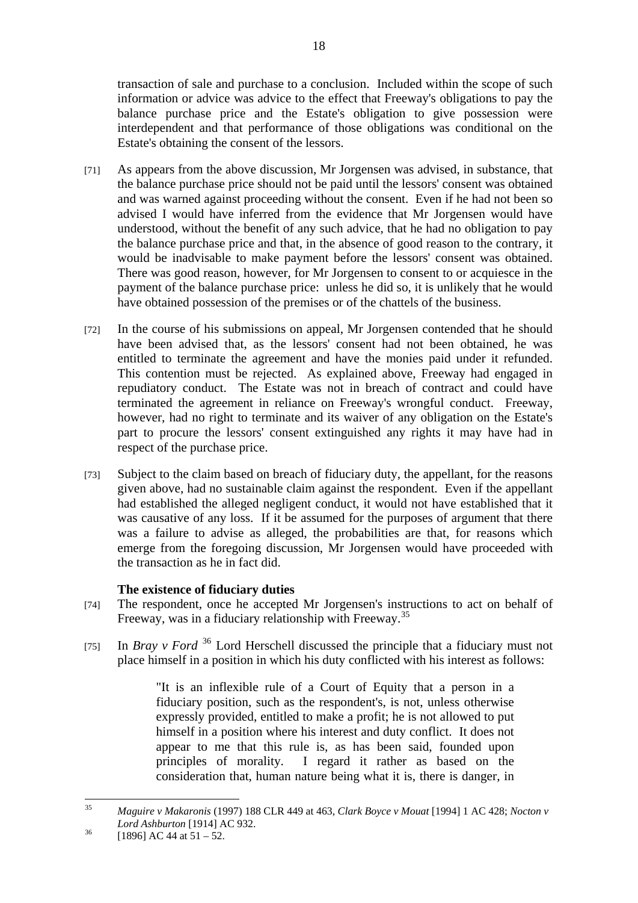transaction of sale and purchase to a conclusion. Included within the scope of such information or advice was advice to the effect that Freeway's obligations to pay the balance purchase price and the Estate's obligation to give possession were interdependent and that performance of those obligations was conditional on the Estate's obtaining the consent of the lessors.

- [71] As appears from the above discussion, Mr Jorgensen was advised, in substance, that the balance purchase price should not be paid until the lessors' consent was obtained and was warned against proceeding without the consent. Even if he had not been so advised I would have inferred from the evidence that Mr Jorgensen would have understood, without the benefit of any such advice, that he had no obligation to pay the balance purchase price and that, in the absence of good reason to the contrary, it would be inadvisable to make payment before the lessors' consent was obtained. There was good reason, however, for Mr Jorgensen to consent to or acquiesce in the payment of the balance purchase price: unless he did so, it is unlikely that he would have obtained possession of the premises or of the chattels of the business.
- [72] In the course of his submissions on appeal, Mr Jorgensen contended that he should have been advised that, as the lessors' consent had not been obtained, he was entitled to terminate the agreement and have the monies paid under it refunded. This contention must be rejected. As explained above, Freeway had engaged in repudiatory conduct. The Estate was not in breach of contract and could have terminated the agreement in reliance on Freeway's wrongful conduct. Freeway, however, had no right to terminate and its waiver of any obligation on the Estate's part to procure the lessors' consent extinguished any rights it may have had in respect of the purchase price.
- [73] Subject to the claim based on breach of fiduciary duty, the appellant, for the reasons given above, had no sustainable claim against the respondent. Even if the appellant had established the alleged negligent conduct, it would not have established that it was causative of any loss. If it be assumed for the purposes of argument that there was a failure to advise as alleged, the probabilities are that, for reasons which emerge from the foregoing discussion, Mr Jorgensen would have proceeded with the transaction as he in fact did.

# **The existence of fiduciary duties**

- [74] The respondent, once he accepted Mr Jorgensen's instructions to act on behalf of Freeway, was in a fiduciary relationship with Freeway.<sup>35</sup>
- [75] In *Bray v Ford* <sup>36</sup> Lord Herschell discussed the principle that a fiduciary must not place himself in a position in which his duty conflicted with his interest as follows:

"It is an inflexible rule of a Court of Equity that a person in a fiduciary position, such as the respondent's, is not, unless otherwise expressly provided, entitled to make a profit; he is not allowed to put himself in a position where his interest and duty conflict. It does not appear to me that this rule is, as has been said, founded upon principles of morality. I regard it rather as based on the consideration that, human nature being what it is, there is danger, in

 $35$ 35 *Maguire v Makaronis* (1997) 188 CLR 449 at 463, *Clark Boyce v Mouat* [1994] 1 AC 428; *Nocton v Lord Ashburton* [1914] AC 932.<br><sup>36</sup> [1896] AC 44 at 51 – 52.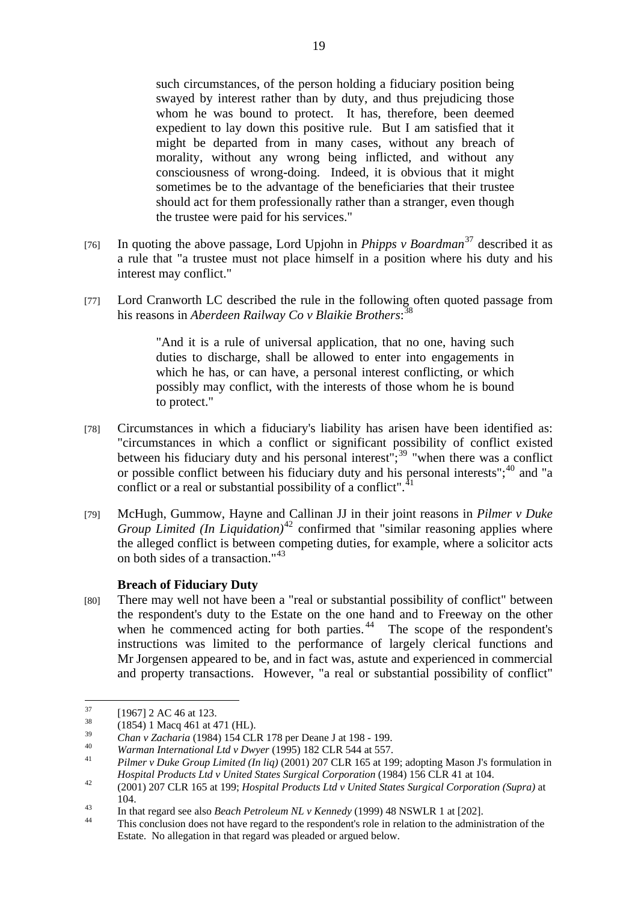such circumstances, of the person holding a fiduciary position being swayed by interest rather than by duty, and thus prejudicing those whom he was bound to protect. It has, therefore, been deemed expedient to lay down this positive rule. But I am satisfied that it might be departed from in many cases, without any breach of morality, without any wrong being inflicted, and without any consciousness of wrong-doing. Indeed, it is obvious that it might sometimes be to the advantage of the beneficiaries that their trustee should act for them professionally rather than a stranger, even though the trustee were paid for his services."

- [76] In quoting the above passage, Lord Upjohn in *Phipps v Boardman*37 described it as a rule that "a trustee must not place himself in a position where his duty and his interest may conflict."
- [77] Lord Cranworth LC described the rule in the following often quoted passage from his reasons in *Aberdeen Railway Co v Blaikie Brothers*: 38

"And it is a rule of universal application, that no one, having such duties to discharge, shall be allowed to enter into engagements in which he has, or can have, a personal interest conflicting, or which possibly may conflict, with the interests of those whom he is bound to protect."

- [78] Circumstances in which a fiduciary's liability has arisen have been identified as: "circumstances in which a conflict or significant possibility of conflict existed between his fiduciary duty and his personal interest";<sup>39</sup> "when there was a conflict or possible conflict between his fiduciary duty and his personal interests";<sup>40</sup> and "a conflict or a real or substantial possibility of a conflict".<sup>41</sup>
- [79] McHugh, Gummow, Hayne and Callinan JJ in their joint reasons in *Pilmer v Duke Group Limited (In Liquidation)*<sup>42</sup> confirmed that "similar reasoning applies where the alleged conflict is between competing duties, for example, where a solicitor acts on both sides of a transaction."<sup>43</sup>

## **Breach of Fiduciary Duty**

[80] There may well not have been a "real or substantial possibility of conflict" between the respondent's duty to the Estate on the one hand and to Freeway on the other when he commenced acting for both parties.  $44$  The scope of the respondent's instructions was limited to the performance of largely clerical functions and Mr Jorgensen appeared to be, and in fact was, astute and experienced in commercial and property transactions. However, "a real or substantial possibility of conflict"

 $37$  $\frac{37}{38}$  [1967] 2 AC 46 at 123.

 $^{38}$  (1854) 1 Macq 461 at 471 (HL).<br> $^{39}$  Chan y Zacharia (1984) 154 CI

<sup>&</sup>lt;sup>39</sup> Chan v Zacharia (1984) 154 CLR 178 per Deane J at 198 - 199.<br>
Warman International Ltd v Dwyer (1995) 182 CLR 544 at 557.<br>
<sup>41</sup> Pilmer v Duke Group Limited (In lig) (2001) 207 CLR 165 at 199; adopting Mason J's formu

*Hospital Products Ltd v United States Surgical Corporation* (1984) 156 CLR 41 at 104.<br>
42 (2001) 207 CLR 165 at 199; *Hospital Products Ltd v United States Surgical Corporation (Supra)* at 104.

<sup>&</sup>lt;sup>43</sup> In that regard see also *Beach Petroleum NL v Kennedy* (1999) 48 NSWLR 1 at [202].<br><sup>44</sup> This conclusion does not have regard to the respondent's role in relation to the administration of the

Estate. No allegation in that regard was pleaded or argued below.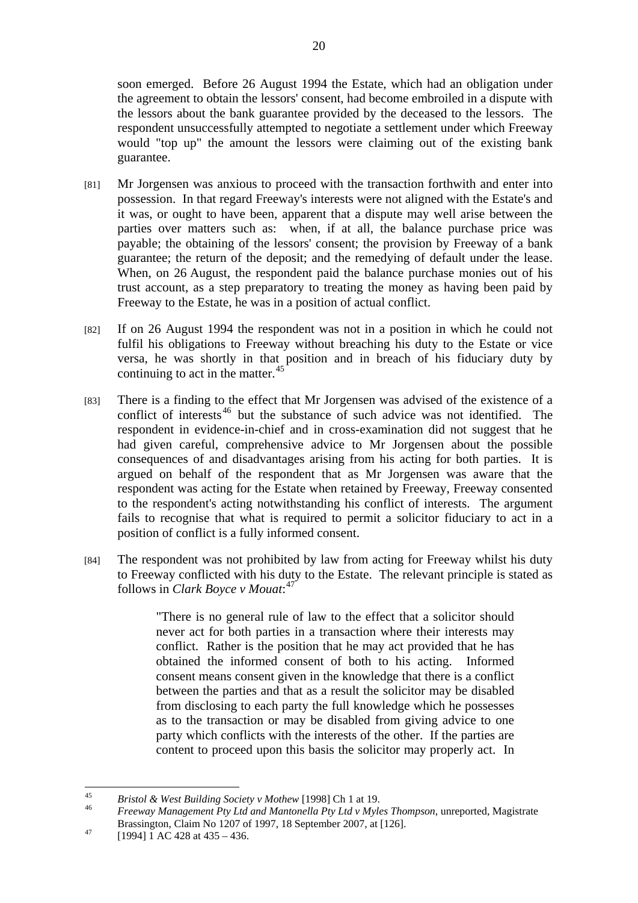soon emerged. Before 26 August 1994 the Estate, which had an obligation under the agreement to obtain the lessors' consent, had become embroiled in a dispute with the lessors about the bank guarantee provided by the deceased to the lessors. The respondent unsuccessfully attempted to negotiate a settlement under which Freeway would "top up" the amount the lessors were claiming out of the existing bank guarantee.

- [81] Mr Jorgensen was anxious to proceed with the transaction forthwith and enter into possession. In that regard Freeway's interests were not aligned with the Estate's and it was, or ought to have been, apparent that a dispute may well arise between the parties over matters such as: when, if at all, the balance purchase price was payable; the obtaining of the lessors' consent; the provision by Freeway of a bank guarantee; the return of the deposit; and the remedying of default under the lease. When, on 26 August, the respondent paid the balance purchase monies out of his trust account, as a step preparatory to treating the money as having been paid by Freeway to the Estate, he was in a position of actual conflict.
- [82] If on 26 August 1994 the respondent was not in a position in which he could not fulfil his obligations to Freeway without breaching his duty to the Estate or vice versa, he was shortly in that position and in breach of his fiduciary duty by continuing to act in the matter.<sup>45</sup>
- [83] There is a finding to the effect that Mr Jorgensen was advised of the existence of a conflict of interests<sup>46</sup> but the substance of such advice was not identified. The respondent in evidence-in-chief and in cross-examination did not suggest that he had given careful, comprehensive advice to Mr Jorgensen about the possible consequences of and disadvantages arising from his acting for both parties. It is argued on behalf of the respondent that as Mr Jorgensen was aware that the respondent was acting for the Estate when retained by Freeway, Freeway consented to the respondent's acting notwithstanding his conflict of interests. The argument fails to recognise that what is required to permit a solicitor fiduciary to act in a position of conflict is a fully informed consent.
- [84] The respondent was not prohibited by law from acting for Freeway whilst his duty to Freeway conflicted with his duty to the Estate. The relevant principle is stated as follows in *Clark Boyce v Mouat*: 47

"There is no general rule of law to the effect that a solicitor should never act for both parties in a transaction where their interests may conflict. Rather is the position that he may act provided that he has obtained the informed consent of both to his acting. Informed consent means consent given in the knowledge that there is a conflict between the parties and that as a result the solicitor may be disabled from disclosing to each party the full knowledge which he possesses as to the transaction or may be disabled from giving advice to one party which conflicts with the interests of the other. If the parties are content to proceed upon this basis the solicitor may properly act. In

 $\overline{45}$ 

<sup>45</sup>*Bristol & West Building Society v Mothew* [1998] Ch 1 at 19. 46 *Freeway Management Pty Ltd and Mantonella Pty Ltd v Myles Thompson*, unreported, Magistrate Brassington, Claim No 1207 of 1997, 18 September 2007, at [126].<br>
[1994] 1 AC 428 at 435 – 436.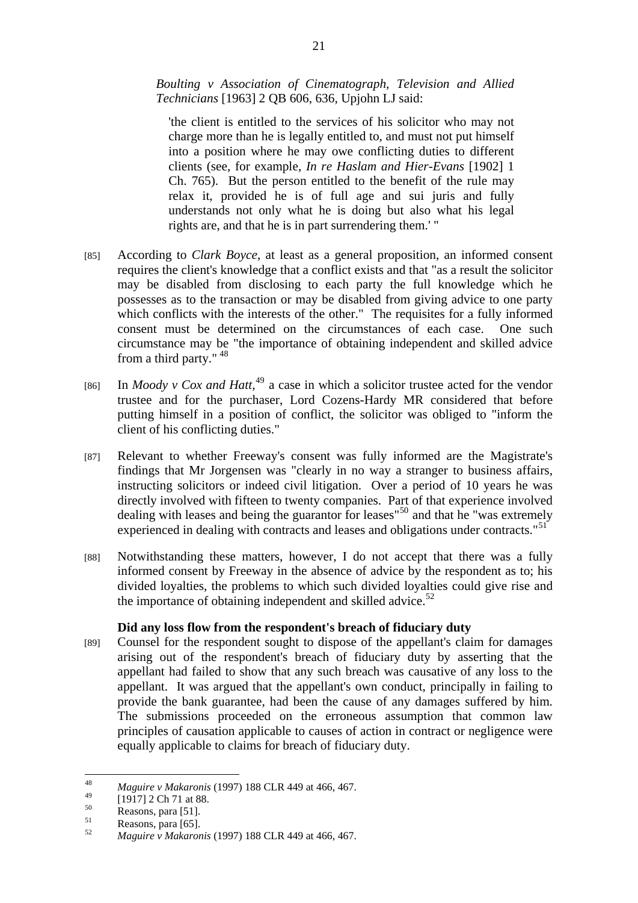# *Boulting v Association of Cinematograph, Television and Allied Technicians* [1963] 2 QB 606, 636, Upjohn LJ said:

'the client is entitled to the services of his solicitor who may not charge more than he is legally entitled to, and must not put himself into a position where he may owe conflicting duties to different clients (see, for example, *In re Haslam and Hier-Evans* [1902] 1 Ch. 765). But the person entitled to the benefit of the rule may relax it, provided he is of full age and sui juris and fully understands not only what he is doing but also what his legal rights are, and that he is in part surrendering them.' "

- [85] According to *Clark Boyce*, at least as a general proposition, an informed consent requires the client's knowledge that a conflict exists and that "as a result the solicitor may be disabled from disclosing to each party the full knowledge which he possesses as to the transaction or may be disabled from giving advice to one party which conflicts with the interests of the other." The requisites for a fully informed consent must be determined on the circumstances of each case. One such circumstance may be "the importance of obtaining independent and skilled advice from a third party." <sup>48</sup>
- [86] In *Moody v Cox and Hatt*,<sup>49</sup> a case in which a solicitor trustee acted for the vendor trustee and for the purchaser, Lord Cozens-Hardy MR considered that before putting himself in a position of conflict, the solicitor was obliged to "inform the client of his conflicting duties."
- [87] Relevant to whether Freeway's consent was fully informed are the Magistrate's findings that Mr Jorgensen was "clearly in no way a stranger to business affairs, instructing solicitors or indeed civil litigation. Over a period of 10 years he was directly involved with fifteen to twenty companies. Part of that experience involved dealing with leases and being the guarantor for leases"50 and that he "was extremely experienced in dealing with contracts and leases and obligations under contracts."<sup>51</sup>
- [88] Notwithstanding these matters, however, I do not accept that there was a fully informed consent by Freeway in the absence of advice by the respondent as to; his divided loyalties, the problems to which such divided loyalties could give rise and the importance of obtaining independent and skilled advice. $52$

## **Did any loss flow from the respondent's breach of fiduciary duty**

[89] Counsel for the respondent sought to dispose of the appellant's claim for damages arising out of the respondent's breach of fiduciary duty by asserting that the appellant had failed to show that any such breach was causative of any loss to the appellant. It was argued that the appellant's own conduct, principally in failing to provide the bank guarantee, had been the cause of any damages suffered by him. The submissions proceeded on the erroneous assumption that common law principles of causation applicable to causes of action in contract or negligence were equally applicable to claims for breach of fiduciary duty.

<sup>48</sup> 48 *Maguire v Makaronis* (1997) 188 CLR 449 at 466, 467.

 $^{49}$  [1917] 2 Ch 71 at 88.

 $\frac{50}{51}$  Reasons, para [51].

 $\sum_{52}^{51}$  Reasons, para [65].

<sup>52</sup> *Maguire v Makaronis* (1997) 188 CLR 449 at 466, 467.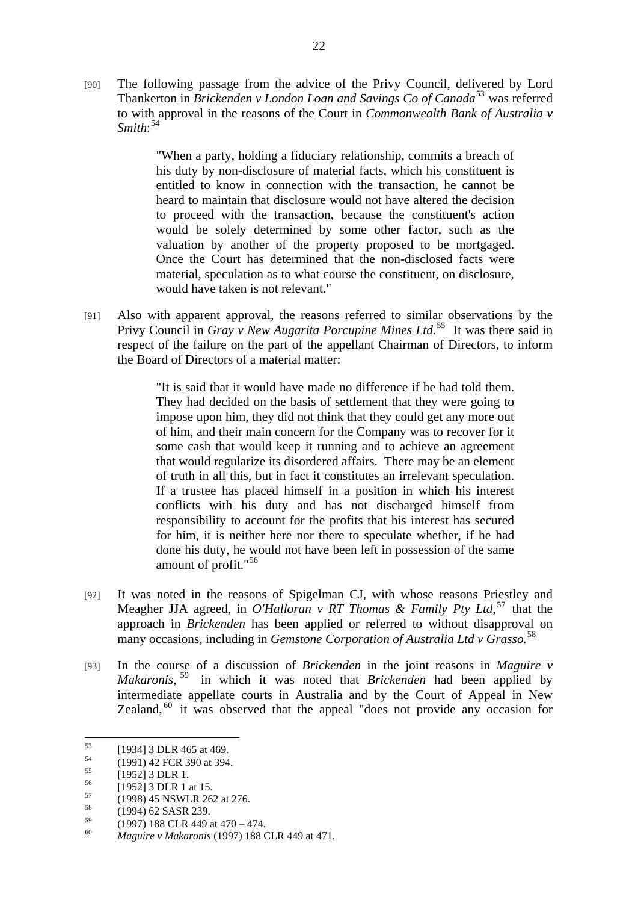[90] The following passage from the advice of the Privy Council, delivered by Lord Thankerton in *Brickenden v London Loan and Savings Co of Canada*<sup>53</sup> was referred to with approval in the reasons of the Court in *Commonwealth Bank of Australia v Smith*: 54

> "When a party, holding a fiduciary relationship, commits a breach of his duty by non-disclosure of material facts, which his constituent is entitled to know in connection with the transaction, he cannot be heard to maintain that disclosure would not have altered the decision to proceed with the transaction, because the constituent's action would be solely determined by some other factor, such as the valuation by another of the property proposed to be mortgaged. Once the Court has determined that the non-disclosed facts were material, speculation as to what course the constituent, on disclosure, would have taken is not relevant."

[91] Also with apparent approval, the reasons referred to similar observations by the Privy Council in *Gray v New Augarita Porcupine Mines Ltd.*55 It was there said in respect of the failure on the part of the appellant Chairman of Directors, to inform the Board of Directors of a material matter:

> "It is said that it would have made no difference if he had told them. They had decided on the basis of settlement that they were going to impose upon him, they did not think that they could get any more out of him, and their main concern for the Company was to recover for it some cash that would keep it running and to achieve an agreement that would regularize its disordered affairs. There may be an element of truth in all this, but in fact it constitutes an irrelevant speculation. If a trustee has placed himself in a position in which his interest conflicts with his duty and has not discharged himself from responsibility to account for the profits that his interest has secured for him, it is neither here nor there to speculate whether, if he had done his duty, he would not have been left in possession of the same amount of profit."<sup>56</sup>

- [92] It was noted in the reasons of Spigelman CJ, with whose reasons Priestley and Meagher JJA agreed, in *O'Halloran v RT Thomas & Family Pty Ltd*, 57 that the approach in *Brickenden* has been applied or referred to without disapproval on many occasions, including in *Gemstone Corporation of Australia Ltd v Grasso.*<sup>58</sup>
- [93] In the course of a discussion of *Brickenden* in the joint reasons in *Maguire v Makaronis*, 59 in which it was noted that *Brickenden* had been applied by intermediate appellate courts in Australia and by the Court of Appeal in New Zealand, 60 it was observed that the appeal "does not provide any occasion for

<sup>53</sup>  $\begin{array}{r} 53 \\ 54 \end{array}$  [1934] 3 DLR 465 at 469.

 $^{54}$  (1991) 42 FCR 390 at 394.

 $^{55}$  [1952] 3 DLR 1.

 $^{56}$  [1952] 3 DLR 1 at 15.

 $^{57}$  (1998) 45 NSWLR 262 at 276.

 $^{58}$  (1994) 62 SASR 239.

 $^{59}$  (1997) 188 CLR 449 at 470 – 474.

<sup>60</sup> *Maguire v Makaronis* (1997) 188 CLR 449 at 471.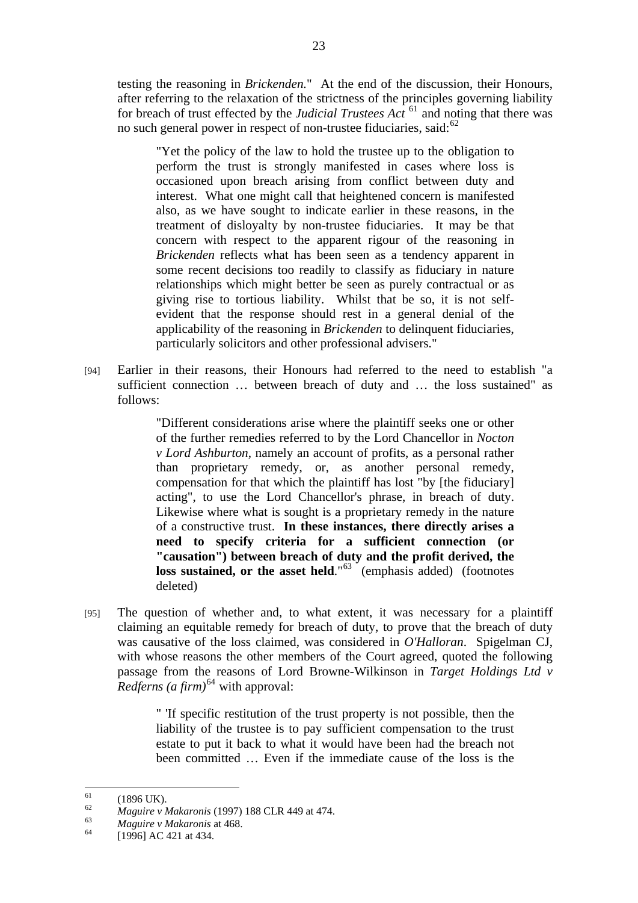testing the reasoning in *Brickenden.*" At the end of the discussion, their Honours, after referring to the relaxation of the strictness of the principles governing liability for breach of trust effected by the *Judicial Trustees Act* <sup>61</sup> and noting that there was no such general power in respect of non-trustee fiduciaries, said: $62$ 

"Yet the policy of the law to hold the trustee up to the obligation to perform the trust is strongly manifested in cases where loss is occasioned upon breach arising from conflict between duty and interest. What one might call that heightened concern is manifested also, as we have sought to indicate earlier in these reasons, in the treatment of disloyalty by non-trustee fiduciaries. It may be that concern with respect to the apparent rigour of the reasoning in *Brickenden* reflects what has been seen as a tendency apparent in some recent decisions too readily to classify as fiduciary in nature relationships which might better be seen as purely contractual or as giving rise to tortious liability. Whilst that be so, it is not selfevident that the response should rest in a general denial of the applicability of the reasoning in *Brickenden* to delinquent fiduciaries, particularly solicitors and other professional advisers."

[94] Earlier in their reasons, their Honours had referred to the need to establish "a sufficient connection … between breach of duty and … the loss sustained" as follows:

> "Different considerations arise where the plaintiff seeks one or other of the further remedies referred to by the Lord Chancellor in *Nocton v Lord Ashburton*, namely an account of profits, as a personal rather than proprietary remedy, or, as another personal remedy, compensation for that which the plaintiff has lost "by [the fiduciary] acting", to use the Lord Chancellor's phrase, in breach of duty. Likewise where what is sought is a proprietary remedy in the nature of a constructive trust. **In these instances, there directly arises a need to specify criteria for a sufficient connection (or "causation") between breach of duty and the profit derived, the loss sustained, or the asset held.**<sup>"63</sup> (emphasis added) (footnotes deleted)

[95] The question of whether and, to what extent, it was necessary for a plaintiff claiming an equitable remedy for breach of duty, to prove that the breach of duty was causative of the loss claimed, was considered in *O'Halloran*. Spigelman CJ, with whose reasons the other members of the Court agreed, quoted the following passage from the reasons of Lord Browne-Wilkinson in *Target Holdings Ltd v Redferns (a firm)*64 with approval:

> " 'If specific restitution of the trust property is not possible, then the liability of the trustee is to pay sufficient compensation to the trust estate to put it back to what it would have been had the breach not been committed … Even if the immediate cause of the loss is the

 $61$  $^{61}$  (1896 UK).

<sup>62</sup>*Maguire v Makaronis* (1997) 188 CLR 449 at 474. 63 *Maguire v Makaronis* at 468. 64 [1996] AC 421 at 434.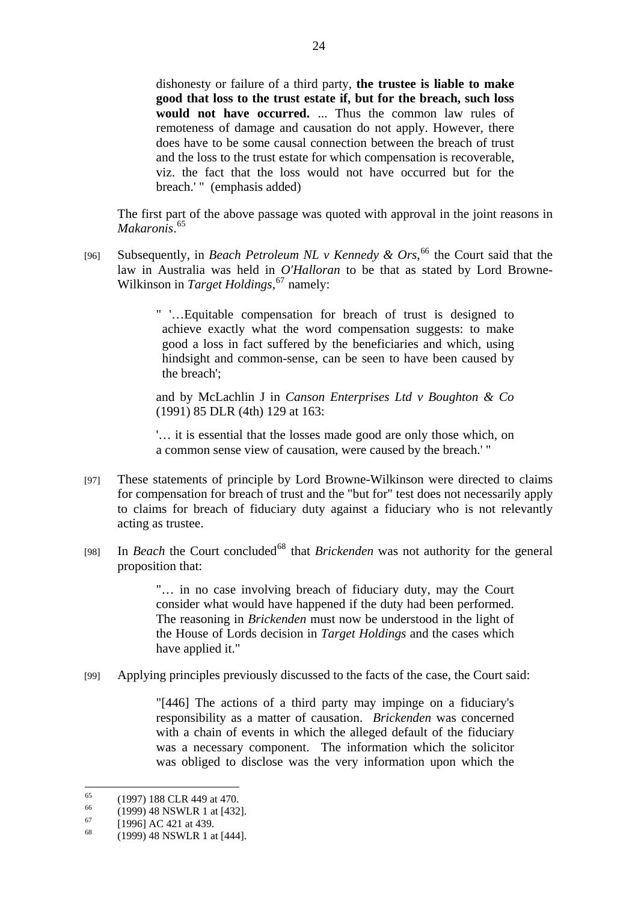dishonesty or failure of a third party, **the trustee is liable to make good that loss to the trust estate if, but for the breach, such loss would not have occurred.** ... Thus the common law rules of remoteness of damage and causation do not apply. However, there does have to be some causal connection between the breach of trust and the loss to the trust estate for which compensation is recoverable, viz. the fact that the loss would not have occurred but for the breach.' " (emphasis added)

The first part of the above passage was quoted with approval in the joint reasons in *Makaronis*. 65

[96] Subsequently, in *Beach Petroleum NL v Kennedy & Ors*, <sup>66</sup> the Court said that the law in Australia was held in *O'Halloran* to be that as stated by Lord Browne-Wilkinson in *Target Holdings*, 67 namely:

> " '…Equitable compensation for breach of trust is designed to achieve exactly what the word compensation suggests: to make good a loss in fact suffered by the beneficiaries and which, using hindsight and common-sense, can be seen to have been caused by the breach';

> and by McLachlin J in *Canson Enterprises Ltd v Boughton & Co* (1991) 85 DLR (4th) 129 at 163:

> '… it is essential that the losses made good are only those which, on a common sense view of causation, were caused by the breach.' "

- [97] These statements of principle by Lord Browne-Wilkinson were directed to claims for compensation for breach of trust and the "but for" test does not necessarily apply to claims for breach of fiduciary duty against a fiduciary who is not relevantly acting as trustee.
- [98] In *Beach* the Court concluded<sup>68</sup> that *Brickenden* was not authority for the general proposition that:

"… in no case involving breach of fiduciary duty, may the Court consider what would have happened if the duty had been performed. The reasoning in *Brickenden* must now be understood in the light of the House of Lords decision in *Target Holdings* and the cases which have applied it."

[99] Applying principles previously discussed to the facts of the case, the Court said:

"[446] The actions of a third party may impinge on a fiduciary's responsibility as a matter of causation. *Brickenden* was concerned with a chain of events in which the alleged default of the fiduciary was a necessary component. The information which the solicitor was obliged to disclose was the very information upon which the

 $65$  $^{65}$  (1997) 188 CLR 449 at 470.

 $^{66}$  (1999) 48 NSWLR 1 at [432].

 $^{67}$  [1996] AC 421 at 439.

<sup>68 (1999) 48</sup> NSWLR 1 at [444].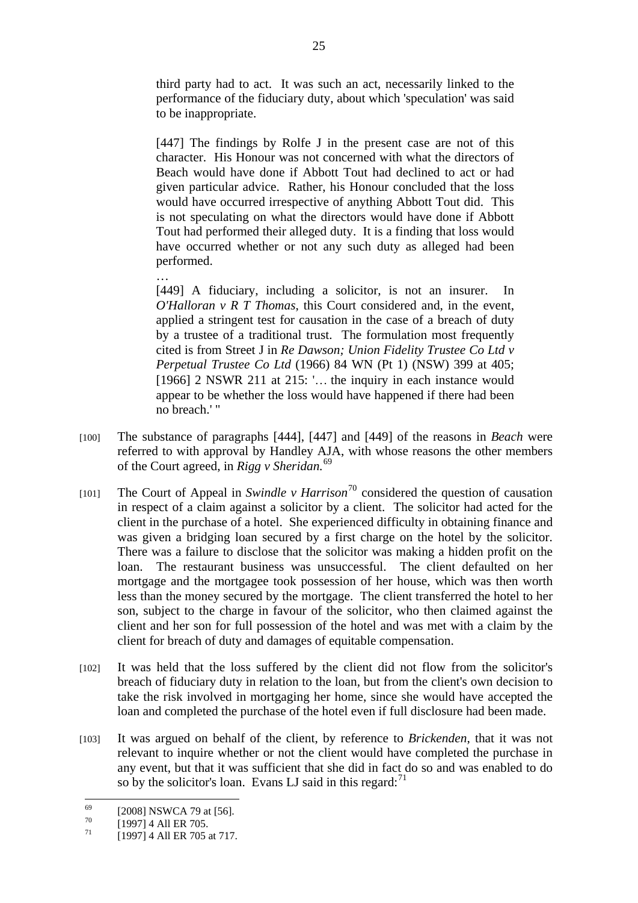third party had to act. It was such an act, necessarily linked to the performance of the fiduciary duty, about which 'speculation' was said to be inappropriate.

[447] The findings by Rolfe J in the present case are not of this character. His Honour was not concerned with what the directors of Beach would have done if Abbott Tout had declined to act or had given particular advice. Rather, his Honour concluded that the loss would have occurred irrespective of anything Abbott Tout did. This is not speculating on what the directors would have done if Abbott Tout had performed their alleged duty. It is a finding that loss would have occurred whether or not any such duty as alleged had been performed.

… [449] A fiduciary, including a solicitor, is not an insurer. In *O'Halloran v R T Thomas*, this Court considered and, in the event, applied a stringent test for causation in the case of a breach of duty by a trustee of a traditional trust. The formulation most frequently cited is from Street J in *Re Dawson; Union Fidelity Trustee Co Ltd v Perpetual Trustee Co Ltd* (1966) 84 WN (Pt 1) (NSW) 399 at 405; [1966] 2 NSWR 211 at 215: '... the inquiry in each instance would appear to be whether the loss would have happened if there had been no breach.' "

- [100] The substance of paragraphs [444], [447] and [449] of the reasons in *Beach* were referred to with approval by Handley AJA, with whose reasons the other members of the Court agreed, in *Rigg v Sheridan.*<sup>69</sup>
- [101] The Court of Appeal in *Swindle v Harrison*70 considered the question of causation in respect of a claim against a solicitor by a client. The solicitor had acted for the client in the purchase of a hotel. She experienced difficulty in obtaining finance and was given a bridging loan secured by a first charge on the hotel by the solicitor. There was a failure to disclose that the solicitor was making a hidden profit on the loan. The restaurant business was unsuccessful. The client defaulted on her mortgage and the mortgagee took possession of her house, which was then worth less than the money secured by the mortgage. The client transferred the hotel to her son, subject to the charge in favour of the solicitor, who then claimed against the client and her son for full possession of the hotel and was met with a claim by the client for breach of duty and damages of equitable compensation.
- [102] It was held that the loss suffered by the client did not flow from the solicitor's breach of fiduciary duty in relation to the loan, but from the client's own decision to take the risk involved in mortgaging her home, since she would have accepted the loan and completed the purchase of the hotel even if full disclosure had been made.
- [103] It was argued on behalf of the client, by reference to *Brickenden*, that it was not relevant to inquire whether or not the client would have completed the purchase in any event, but that it was sufficient that she did in fact do so and was enabled to do so by the solicitor's loan. Evans LJ said in this regard: $71$

<sup>69</sup>  $^{69}$  [2008] NSWCA 79 at [56].

 $^{70}$  [1997] 4 All ER 705.

<sup>[1997] 4</sup> All ER 705 at 717.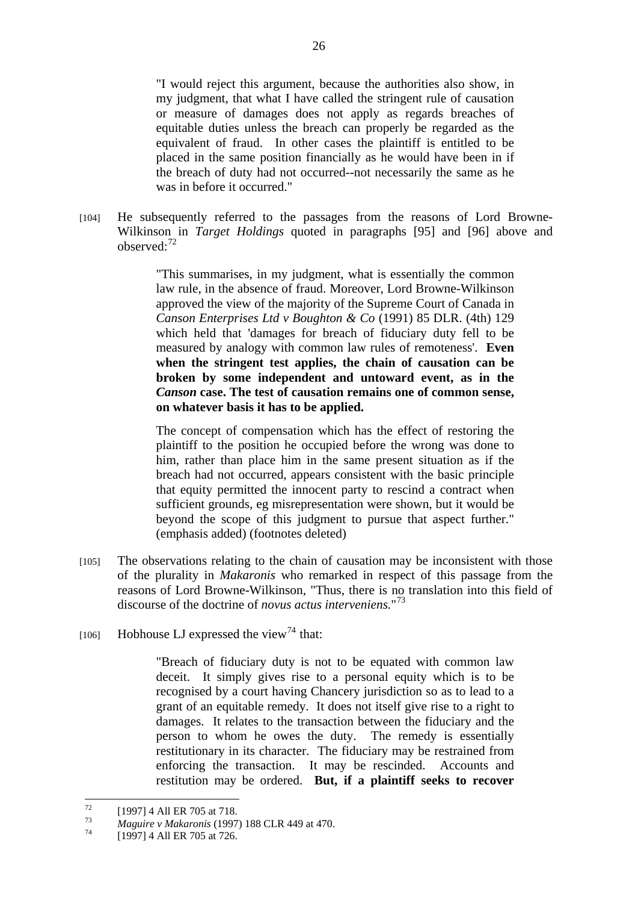"I would reject this argument, because the authorities also show, in my judgment, that what I have called the stringent rule of causation or measure of damages does not apply as regards breaches of equitable duties unless the breach can properly be regarded as the equivalent of fraud. In other cases the plaintiff is entitled to be placed in the same position financially as he would have been in if the breach of duty had not occurred--not necessarily the same as he was in before it occurred."

[104] He subsequently referred to the passages from the reasons of Lord Browne-Wilkinson in *Target Holdings* quoted in paragraphs [95] and [96] above and observed:<sup>72</sup>

> "This summarises, in my judgment, what is essentially the common law rule, in the absence of fraud. Moreover, Lord Browne-Wilkinson approved the view of the majority of the Supreme Court of Canada in *Canson Enterprises Ltd v Boughton & Co* (1991) 85 DLR. (4th) 129 which held that 'damages for breach of fiduciary duty fell to be measured by analogy with common law rules of remoteness'. **Even when the stringent test applies, the chain of causation can be broken by some independent and untoward event, as in the**  *Canson* **case. The test of causation remains one of common sense, on whatever basis it has to be applied.**

> The concept of compensation which has the effect of restoring the plaintiff to the position he occupied before the wrong was done to him, rather than place him in the same present situation as if the breach had not occurred, appears consistent with the basic principle that equity permitted the innocent party to rescind a contract when sufficient grounds, eg misrepresentation were shown, but it would be beyond the scope of this judgment to pursue that aspect further." (emphasis added) (footnotes deleted)

- [105] The observations relating to the chain of causation may be inconsistent with those of the plurality in *Makaronis* who remarked in respect of this passage from the reasons of Lord Browne-Wilkinson, "Thus, there is no translation into this field of discourse of the doctrine of *novus actus interveniens.*" 73
- [106] Hobhouse LJ expressed the view<sup>74</sup> that:

"Breach of fiduciary duty is not to be equated with common law deceit. It simply gives rise to a personal equity which is to be recognised by a court having Chancery jurisdiction so as to lead to a grant of an equitable remedy. It does not itself give rise to a right to damages. It relates to the transaction between the fiduciary and the person to whom he owes the duty. The remedy is essentially restitutionary in its character. The fiduciary may be restrained from enforcing the transaction. It may be rescinded. Accounts and restitution may be ordered. **But, if a plaintiff seeks to recover** 

<sup>72</sup>  $^{72}$  [1997] 4 All ER 705 at 718.

<sup>73</sup>*Maguire v Makaronis* (1997) 188 CLR 449 at 470. 74 [1997] 4 All ER 705 at 726.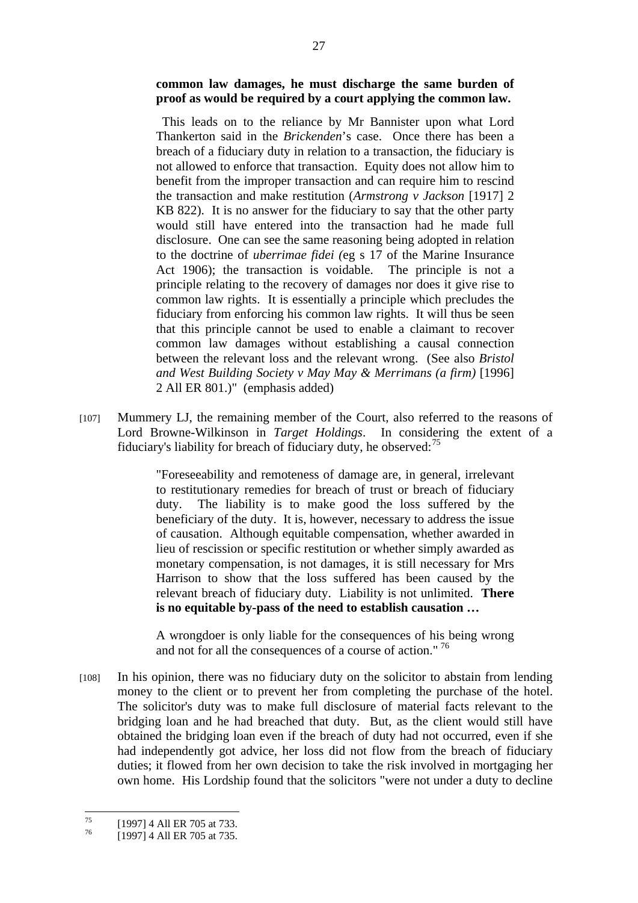# **common law damages, he must discharge the same burden of proof as would be required by a court applying the common law.**

This leads on to the reliance by Mr Bannister upon what Lord Thankerton said in the *Brickenden*'s case. Once there has been a breach of a fiduciary duty in relation to a transaction, the fiduciary is not allowed to enforce that transaction. Equity does not allow him to benefit from the improper transaction and can require him to rescind the transaction and make restitution (*Armstrong v Jackson* [1917] 2 KB 822). It is no answer for the fiduciary to say that the other party would still have entered into the transaction had he made full disclosure. One can see the same reasoning being adopted in relation to the doctrine of *uberrimae fidei (*eg s 17 of the Marine Insurance Act 1906); the transaction is voidable. The principle is not a principle relating to the recovery of damages nor does it give rise to common law rights. It is essentially a principle which precludes the fiduciary from enforcing his common law rights. It will thus be seen that this principle cannot be used to enable a claimant to recover common law damages without establishing a causal connection between the relevant loss and the relevant wrong. (See also *Bristol and West Building Society v May May & Merrimans (a firm)* [1996] 2 All ER 801.)" (emphasis added)

[107] Mummery LJ, the remaining member of the Court, also referred to the reasons of Lord Browne-Wilkinson in *Target Holdings*. In considering the extent of a fiduciary's liability for breach of fiduciary duty, he observed: $^{75}$ 

> "Foreseeability and remoteness of damage are, in general, irrelevant to restitutionary remedies for breach of trust or breach of fiduciary duty. The liability is to make good the loss suffered by the beneficiary of the duty. It is, however, necessary to address the issue of causation. Although equitable compensation, whether awarded in lieu of rescission or specific restitution or whether simply awarded as monetary compensation, is not damages, it is still necessary for Mrs Harrison to show that the loss suffered has been caused by the relevant breach of fiduciary duty. Liability is not unlimited. **There is no equitable by-pass of the need to establish causation …**

> A wrongdoer is only liable for the consequences of his being wrong and not for all the consequences of a course of action."<sup>76</sup>

[108] In his opinion, there was no fiduciary duty on the solicitor to abstain from lending money to the client or to prevent her from completing the purchase of the hotel. The solicitor's duty was to make full disclosure of material facts relevant to the bridging loan and he had breached that duty. But, as the client would still have obtained the bridging loan even if the breach of duty had not occurred, even if she had independently got advice, her loss did not flow from the breach of fiduciary duties; it flowed from her own decision to take the risk involved in mortgaging her own home. His Lordship found that the solicitors "were not under a duty to decline

 $75$  $^{75}$  [1997] 4 All ER 705 at 733.

<sup>[1997] 4</sup> All ER 705 at 735.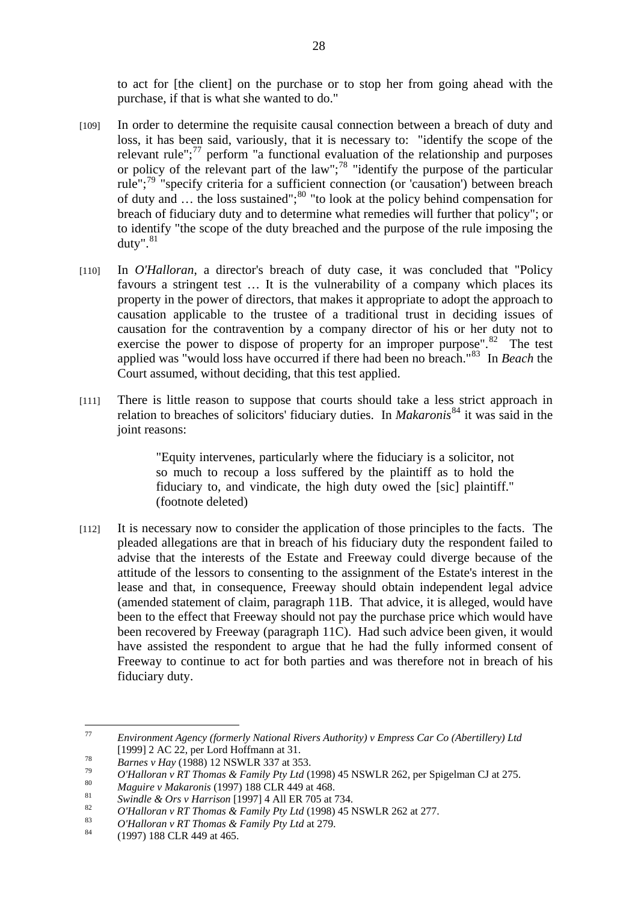to act for [the client] on the purchase or to stop her from going ahead with the purchase, if that is what she wanted to do."

- [109] In order to determine the requisite causal connection between a breach of duty and loss, it has been said, variously, that it is necessary to: "identify the scope of the relevant rule"; $^{77}$  perform "a functional evaluation of the relationship and purposes or policy of the relevant part of the law"; $^{78}$  "identify the purpose of the particular rule";79 "specify criteria for a sufficient connection (or 'causation') between breach of duty and  $\ldots$  the loss sustained";<sup>80</sup> "to look at the policy behind compensation for breach of fiduciary duty and to determine what remedies will further that policy"; or to identify "the scope of the duty breached and the purpose of the rule imposing the duty". $81$
- [110] In *O'Halloran*, a director's breach of duty case, it was concluded that "Policy favours a stringent test … It is the vulnerability of a company which places its property in the power of directors, that makes it appropriate to adopt the approach to causation applicable to the trustee of a traditional trust in deciding issues of causation for the contravention by a company director of his or her duty not to exercise the power to dispose of property for an improper purpose".<sup>82</sup> The test applied was "would loss have occurred if there had been no breach."83 In *Beach* the Court assumed, without deciding, that this test applied.
- [111] There is little reason to suppose that courts should take a less strict approach in relation to breaches of solicitors' fiduciary duties. In *Makaronis*<sup>84</sup> it was said in the joint reasons:

"Equity intervenes, particularly where the fiduciary is a solicitor, not so much to recoup a loss suffered by the plaintiff as to hold the fiduciary to, and vindicate, the high duty owed the [sic] plaintiff." (footnote deleted)

[112] It is necessary now to consider the application of those principles to the facts. The pleaded allegations are that in breach of his fiduciary duty the respondent failed to advise that the interests of the Estate and Freeway could diverge because of the attitude of the lessors to consenting to the assignment of the Estate's interest in the lease and that, in consequence, Freeway should obtain independent legal advice (amended statement of claim, paragraph 11B. That advice, it is alleged, would have been to the effect that Freeway should not pay the purchase price which would have been recovered by Freeway (paragraph 11C). Had such advice been given, it would have assisted the respondent to argue that he had the fully informed consent of Freeway to continue to act for both parties and was therefore not in breach of his fiduciary duty.

 $77$ 77 *Environment Agency (formerly National Rivers Authority) v Empress Car Co (Abertillery) Ltd*

<sup>[1999] 2</sup> AC 22, per Lord Hoffmann at 31.<br> *Barnes v Hay* (1988) 12 NSWLR 337 at 353.<br> *O'Halloran v RT Thomas & Family Pty Ltd* (1998) 45 NSWLR 262, per Spigelman CJ at 275.<br> *Maguire v Makaronis* (1997) 188 CLR 449 at 46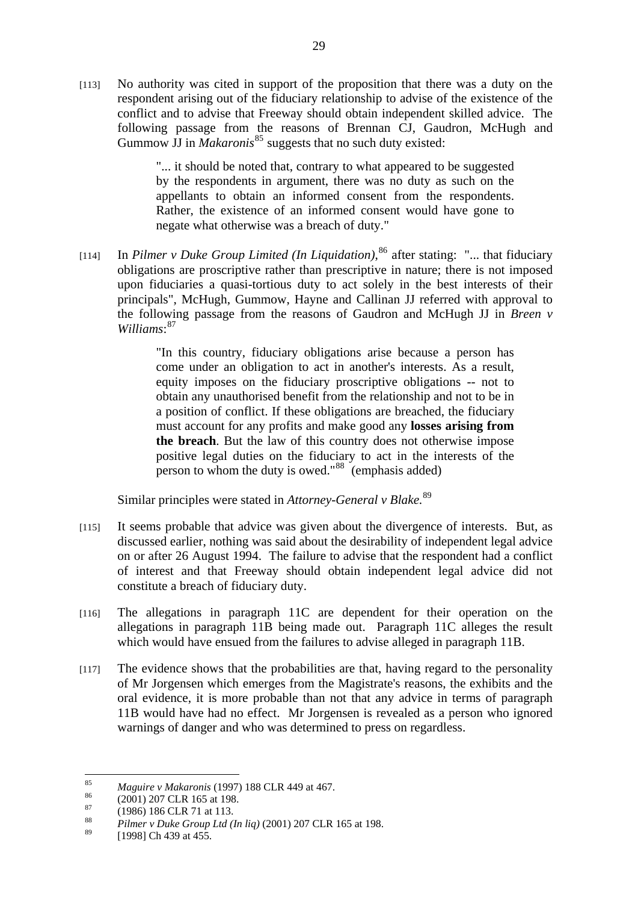[113] No authority was cited in support of the proposition that there was a duty on the respondent arising out of the fiduciary relationship to advise of the existence of the conflict and to advise that Freeway should obtain independent skilled advice. The following passage from the reasons of Brennan CJ, Gaudron, McHugh and Gummow JJ in *Makaronis*<sup>85</sup> suggests that no such duty existed:

> "... it should be noted that, contrary to what appeared to be suggested by the respondents in argument, there was no duty as such on the appellants to obtain an informed consent from the respondents. Rather, the existence of an informed consent would have gone to negate what otherwise was a breach of duty."

[114] In *Pilmer v Duke Group Limited (In Liquidation)*, 86 after stating: "... that fiduciary obligations are proscriptive rather than prescriptive in nature; there is not imposed upon fiduciaries a quasi-tortious duty to act solely in the best interests of their principals", McHugh, Gummow, Hayne and Callinan JJ referred with approval to the following passage from the reasons of Gaudron and McHugh JJ in *Breen v Williams*: 87

> "In this country, fiduciary obligations arise because a person has come under an obligation to act in another's interests. As a result, equity imposes on the fiduciary proscriptive obligations -- not to obtain any unauthorised benefit from the relationship and not to be in a position of conflict. If these obligations are breached, the fiduciary must account for any profits and make good any **losses arising from the breach**. But the law of this country does not otherwise impose positive legal duties on the fiduciary to act in the interests of the person to whom the duty is owed." $88 \text{ (emphasis added)}$

Similar principles were stated in *Attorney-General v Blake.*<sup>89</sup>

- [115] It seems probable that advice was given about the divergence of interests. But, as discussed earlier, nothing was said about the desirability of independent legal advice on or after 26 August 1994. The failure to advise that the respondent had a conflict of interest and that Freeway should obtain independent legal advice did not constitute a breach of fiduciary duty.
- [116] The allegations in paragraph 11C are dependent for their operation on the allegations in paragraph 11B being made out. Paragraph 11C alleges the result which would have ensued from the failures to advise alleged in paragraph 11B.
- [117] The evidence shows that the probabilities are that, having regard to the personality of Mr Jorgensen which emerges from the Magistrate's reasons, the exhibits and the oral evidence, it is more probable than not that any advice in terms of paragraph 11B would have had no effect. Mr Jorgensen is revealed as a person who ignored warnings of danger and who was determined to press on regardless.

<sup>85</sup> 85 *Maguire v Makaronis* (1997) 188 CLR 449 at 467.<br>
(2001) 207 CLR 165 at 198.

 $^{87}$  (1986) 186 CLR 71 at 113.

<sup>88</sup> *Pilmer v Duke Group Ltd (In liq)* (2001) 207 CLR 165 at 198.

<sup>[1998]</sup> Ch 439 at 455.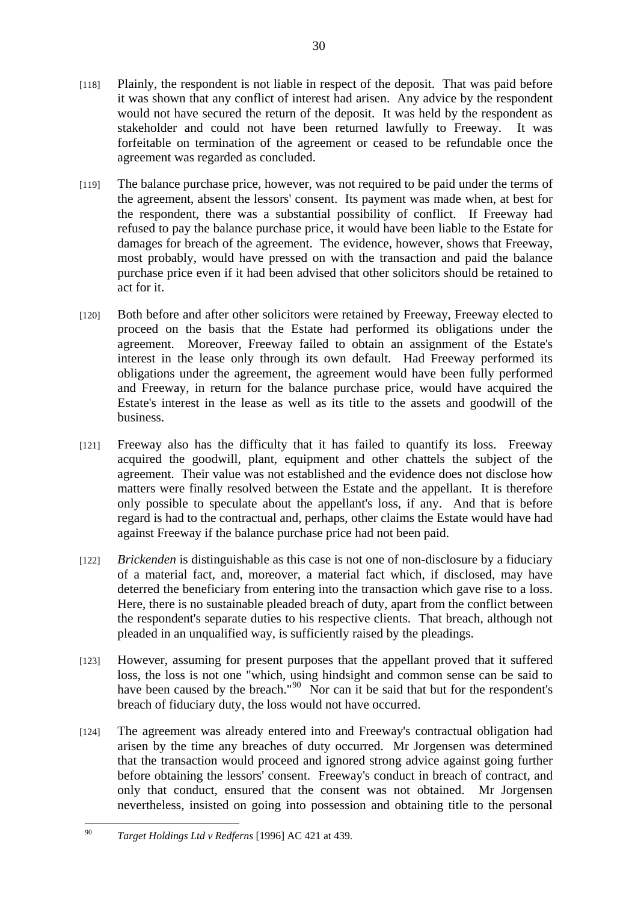- [118] Plainly, the respondent is not liable in respect of the deposit. That was paid before it was shown that any conflict of interest had arisen. Any advice by the respondent would not have secured the return of the deposit. It was held by the respondent as stakeholder and could not have been returned lawfully to Freeway. It was forfeitable on termination of the agreement or ceased to be refundable once the agreement was regarded as concluded.
- [119] The balance purchase price, however, was not required to be paid under the terms of the agreement, absent the lessors' consent. Its payment was made when, at best for the respondent, there was a substantial possibility of conflict. If Freeway had refused to pay the balance purchase price, it would have been liable to the Estate for damages for breach of the agreement. The evidence, however, shows that Freeway, most probably, would have pressed on with the transaction and paid the balance purchase price even if it had been advised that other solicitors should be retained to act for it.
- [120] Both before and after other solicitors were retained by Freeway, Freeway elected to proceed on the basis that the Estate had performed its obligations under the agreement. Moreover, Freeway failed to obtain an assignment of the Estate's interest in the lease only through its own default. Had Freeway performed its obligations under the agreement, the agreement would have been fully performed and Freeway, in return for the balance purchase price, would have acquired the Estate's interest in the lease as well as its title to the assets and goodwill of the business.
- [121] Freeway also has the difficulty that it has failed to quantify its loss. Freeway acquired the goodwill, plant, equipment and other chattels the subject of the agreement. Their value was not established and the evidence does not disclose how matters were finally resolved between the Estate and the appellant. It is therefore only possible to speculate about the appellant's loss, if any. And that is before regard is had to the contractual and, perhaps, other claims the Estate would have had against Freeway if the balance purchase price had not been paid.
- [122] *Brickenden* is distinguishable as this case is not one of non-disclosure by a fiduciary of a material fact, and, moreover, a material fact which, if disclosed, may have deterred the beneficiary from entering into the transaction which gave rise to a loss. Here, there is no sustainable pleaded breach of duty, apart from the conflict between the respondent's separate duties to his respective clients. That breach, although not pleaded in an unqualified way, is sufficiently raised by the pleadings.
- [123] However, assuming for present purposes that the appellant proved that it suffered loss, the loss is not one "which, using hindsight and common sense can be said to have been caused by the breach."<sup>90</sup> Nor can it be said that but for the respondent's breach of fiduciary duty, the loss would not have occurred.
- [124] The agreement was already entered into and Freeway's contractual obligation had arisen by the time any breaches of duty occurred. Mr Jorgensen was determined that the transaction would proceed and ignored strong advice against going further before obtaining the lessors' consent. Freeway's conduct in breach of contract, and only that conduct, ensured that the consent was not obtained. Mr Jorgensen nevertheless, insisted on going into possession and obtaining title to the personal

 $\alpha$ 90 *Target Holdings Ltd v Redferns* [1996] AC 421 at 439.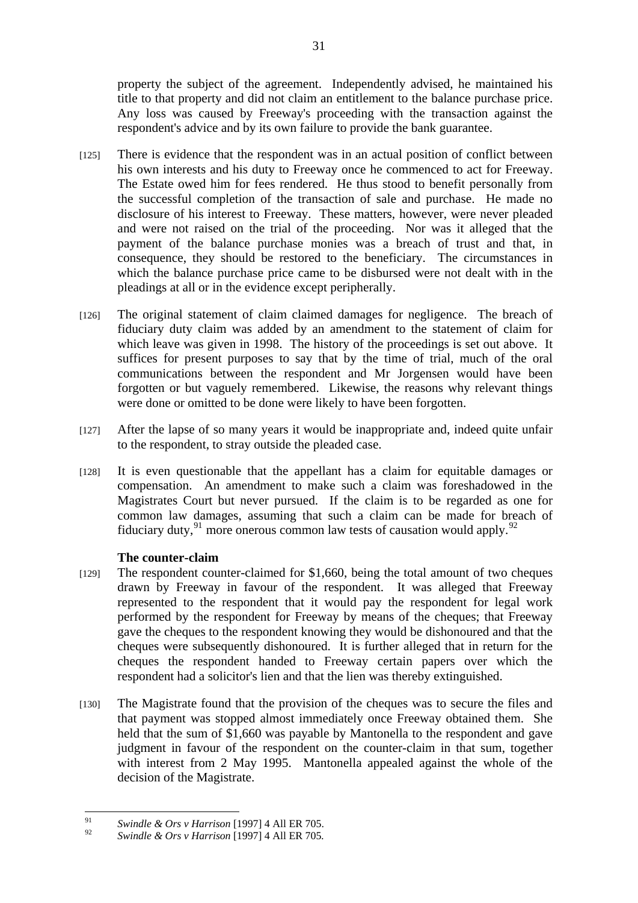property the subject of the agreement. Independently advised, he maintained his title to that property and did not claim an entitlement to the balance purchase price. Any loss was caused by Freeway's proceeding with the transaction against the respondent's advice and by its own failure to provide the bank guarantee.

- [125] There is evidence that the respondent was in an actual position of conflict between his own interests and his duty to Freeway once he commenced to act for Freeway. The Estate owed him for fees rendered. He thus stood to benefit personally from the successful completion of the transaction of sale and purchase. He made no disclosure of his interest to Freeway. These matters, however, were never pleaded and were not raised on the trial of the proceeding. Nor was it alleged that the payment of the balance purchase monies was a breach of trust and that, in consequence, they should be restored to the beneficiary. The circumstances in which the balance purchase price came to be disbursed were not dealt with in the pleadings at all or in the evidence except peripherally.
- [126] The original statement of claim claimed damages for negligence. The breach of fiduciary duty claim was added by an amendment to the statement of claim for which leave was given in 1998. The history of the proceedings is set out above. It suffices for present purposes to say that by the time of trial, much of the oral communications between the respondent and Mr Jorgensen would have been forgotten or but vaguely remembered. Likewise, the reasons why relevant things were done or omitted to be done were likely to have been forgotten.
- [127] After the lapse of so many years it would be inappropriate and, indeed quite unfair to the respondent, to stray outside the pleaded case.
- [128] It is even questionable that the appellant has a claim for equitable damages or compensation. An amendment to make such a claim was foreshadowed in the Magistrates Court but never pursued. If the claim is to be regarded as one for common law damages, assuming that such a claim can be made for breach of fiduciary duty,  $91$  more onerous common law tests of causation would apply.  $92$

## **The counter-claim**

- [129] The respondent counter-claimed for \$1,660, being the total amount of two cheques drawn by Freeway in favour of the respondent. It was alleged that Freeway represented to the respondent that it would pay the respondent for legal work performed by the respondent for Freeway by means of the cheques; that Freeway gave the cheques to the respondent knowing they would be dishonoured and that the cheques were subsequently dishonoured. It is further alleged that in return for the cheques the respondent handed to Freeway certain papers over which the respondent had a solicitor's lien and that the lien was thereby extinguished.
- [130] The Magistrate found that the provision of the cheques was to secure the files and that payment was stopped almost immediately once Freeway obtained them. She held that the sum of \$1,660 was payable by Mantonella to the respondent and gave judgment in favour of the respondent on the counter-claim in that sum, together with interest from 2 May 1995. Mantonella appealed against the whole of the decision of the Magistrate.

 $91$ 91 *Swindle & Ors v Harrison* [1997] 4 All ER 705.

<sup>92</sup> *Swindle & Ors v Harrison* [1997] 4 All ER 705*.*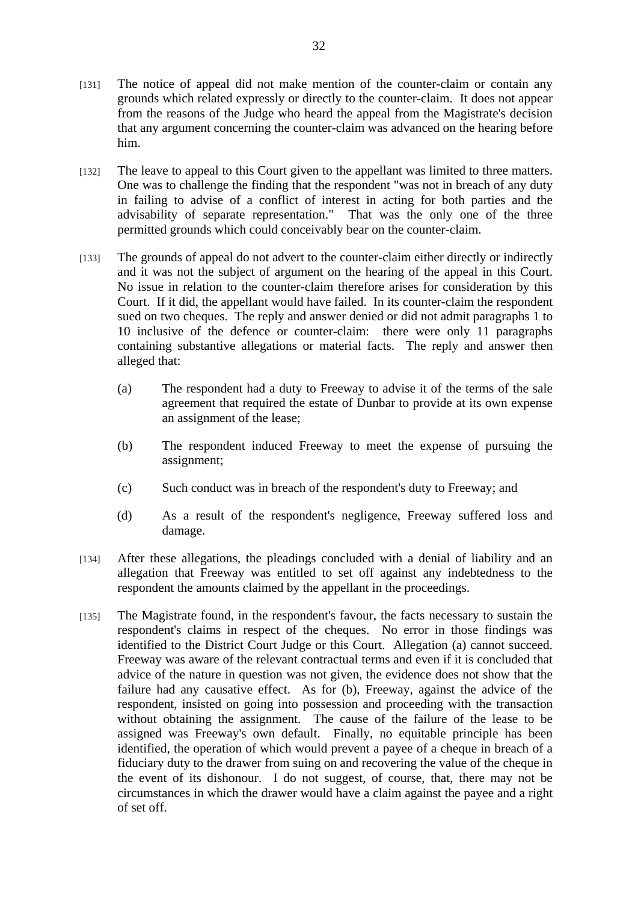- [131] The notice of appeal did not make mention of the counter-claim or contain any grounds which related expressly or directly to the counter-claim. It does not appear from the reasons of the Judge who heard the appeal from the Magistrate's decision that any argument concerning the counter-claim was advanced on the hearing before him.
- [132] The leave to appeal to this Court given to the appellant was limited to three matters. One was to challenge the finding that the respondent "was not in breach of any duty in failing to advise of a conflict of interest in acting for both parties and the advisability of separate representation." That was the only one of the three permitted grounds which could conceivably bear on the counter-claim.
- [133] The grounds of appeal do not advert to the counter-claim either directly or indirectly and it was not the subject of argument on the hearing of the appeal in this Court. No issue in relation to the counter-claim therefore arises for consideration by this Court. If it did, the appellant would have failed. In its counter-claim the respondent sued on two cheques. The reply and answer denied or did not admit paragraphs 1 to 10 inclusive of the defence or counter-claim: there were only 11 paragraphs containing substantive allegations or material facts. The reply and answer then alleged that:
	- (a) The respondent had a duty to Freeway to advise it of the terms of the sale agreement that required the estate of Dunbar to provide at its own expense an assignment of the lease;
	- (b) The respondent induced Freeway to meet the expense of pursuing the assignment;
	- (c) Such conduct was in breach of the respondent's duty to Freeway; and
	- (d) As a result of the respondent's negligence, Freeway suffered loss and damage.
- [134] After these allegations, the pleadings concluded with a denial of liability and an allegation that Freeway was entitled to set off against any indebtedness to the respondent the amounts claimed by the appellant in the proceedings.
- [135] The Magistrate found, in the respondent's favour, the facts necessary to sustain the respondent's claims in respect of the cheques. No error in those findings was identified to the District Court Judge or this Court. Allegation (a) cannot succeed. Freeway was aware of the relevant contractual terms and even if it is concluded that advice of the nature in question was not given, the evidence does not show that the failure had any causative effect. As for (b), Freeway, against the advice of the respondent, insisted on going into possession and proceeding with the transaction without obtaining the assignment. The cause of the failure of the lease to be assigned was Freeway's own default. Finally, no equitable principle has been identified, the operation of which would prevent a payee of a cheque in breach of a fiduciary duty to the drawer from suing on and recovering the value of the cheque in the event of its dishonour. I do not suggest, of course, that, there may not be circumstances in which the drawer would have a claim against the payee and a right of set off.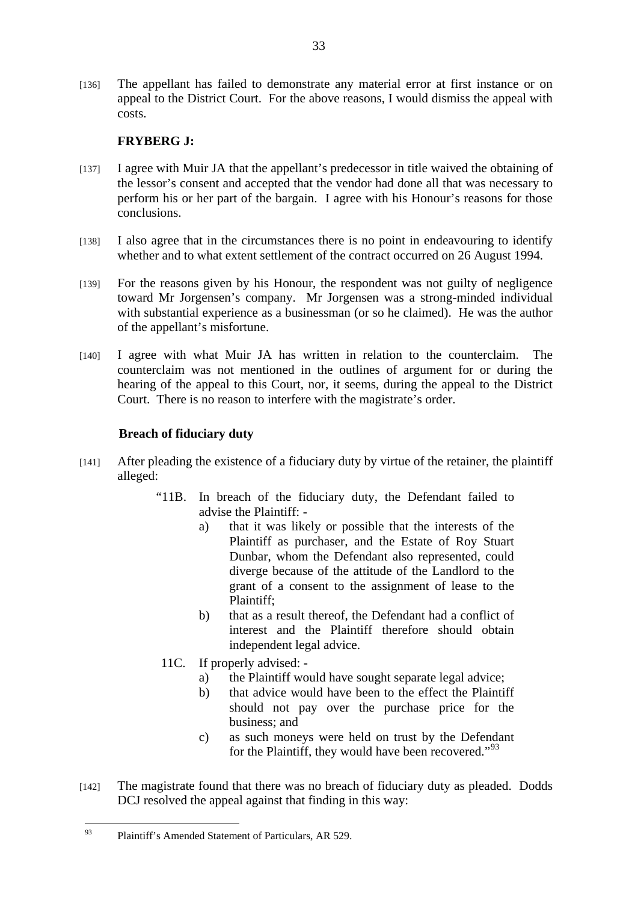[136] The appellant has failed to demonstrate any material error at first instance or on appeal to the District Court. For the above reasons, I would dismiss the appeal with costs.

# **FRYBERG J:**

- [137] I agree with Muir JA that the appellant's predecessor in title waived the obtaining of the lessor's consent and accepted that the vendor had done all that was necessary to perform his or her part of the bargain. I agree with his Honour's reasons for those conclusions.
- [138] I also agree that in the circumstances there is no point in endeavouring to identify whether and to what extent settlement of the contract occurred on 26 August 1994.
- [139] For the reasons given by his Honour, the respondent was not guilty of negligence toward Mr Jorgensen's company. Mr Jorgensen was a strong-minded individual with substantial experience as a businessman (or so he claimed). He was the author of the appellant's misfortune.
- [140] I agree with what Muir JA has written in relation to the counterclaim. The counterclaim was not mentioned in the outlines of argument for or during the hearing of the appeal to this Court, nor, it seems, during the appeal to the District Court. There is no reason to interfere with the magistrate's order.

# **Breach of fiduciary duty**

- [141] After pleading the existence of a fiduciary duty by virtue of the retainer, the plaintiff alleged:
	- "11B. In breach of the fiduciary duty, the Defendant failed to advise the Plaintiff:
		- a) that it was likely or possible that the interests of the Plaintiff as purchaser, and the Estate of Roy Stuart Dunbar, whom the Defendant also represented, could diverge because of the attitude of the Landlord to the grant of a consent to the assignment of lease to the Plaintiff;
		- b) that as a result thereof, the Defendant had a conflict of interest and the Plaintiff therefore should obtain independent legal advice.
	- 11C. If properly advised:
		- a) the Plaintiff would have sought separate legal advice;
		- b) that advice would have been to the effect the Plaintiff should not pay over the purchase price for the business; and
		- c) as such moneys were held on trust by the Defendant for the Plaintiff, they would have been recovered."<sup>93</sup>
- [142] The magistrate found that there was no breach of fiduciary duty as pleaded. Dodds DCJ resolved the appeal against that finding in this way:

 $Q<sub>2</sub>$ Plaintiff's Amended Statement of Particulars, AR 529.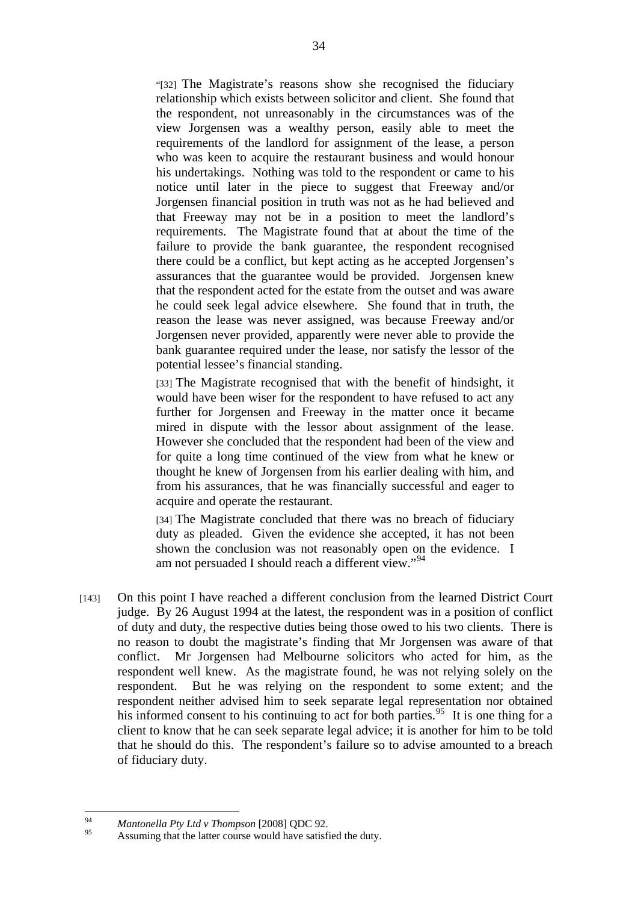"[32] The Magistrate's reasons show she recognised the fiduciary relationship which exists between solicitor and client. She found that the respondent, not unreasonably in the circumstances was of the view Jorgensen was a wealthy person, easily able to meet the requirements of the landlord for assignment of the lease, a person who was keen to acquire the restaurant business and would honour his undertakings. Nothing was told to the respondent or came to his notice until later in the piece to suggest that Freeway and/or Jorgensen financial position in truth was not as he had believed and that Freeway may not be in a position to meet the landlord's requirements. The Magistrate found that at about the time of the failure to provide the bank guarantee, the respondent recognised there could be a conflict, but kept acting as he accepted Jorgensen's assurances that the guarantee would be provided. Jorgensen knew that the respondent acted for the estate from the outset and was aware he could seek legal advice elsewhere. She found that in truth, the reason the lease was never assigned, was because Freeway and/or Jorgensen never provided, apparently were never able to provide the bank guarantee required under the lease, nor satisfy the lessor of the potential lessee's financial standing.

[33] The Magistrate recognised that with the benefit of hindsight, it would have been wiser for the respondent to have refused to act any further for Jorgensen and Freeway in the matter once it became mired in dispute with the lessor about assignment of the lease. However she concluded that the respondent had been of the view and for quite a long time continued of the view from what he knew or thought he knew of Jorgensen from his earlier dealing with him, and from his assurances, that he was financially successful and eager to acquire and operate the restaurant.

[34] The Magistrate concluded that there was no breach of fiduciary duty as pleaded. Given the evidence she accepted, it has not been shown the conclusion was not reasonably open on the evidence. I am not persuaded I should reach a different view."<sup>94</sup>

[143] On this point I have reached a different conclusion from the learned District Court judge. By 26 August 1994 at the latest, the respondent was in a position of conflict of duty and duty, the respective duties being those owed to his two clients. There is no reason to doubt the magistrate's finding that Mr Jorgensen was aware of that conflict. Mr Jorgensen had Melbourne solicitors who acted for him, as the respondent well knew. As the magistrate found, he was not relying solely on the respondent. But he was relying on the respondent to some extent; and the respondent neither advised him to seek separate legal representation nor obtained his informed consent to his continuing to act for both parties.<sup>95</sup> It is one thing for a client to know that he can seek separate legal advice; it is another for him to be told that he should do this. The respondent's failure so to advise amounted to a breach of fiduciary duty.

<sup>94</sup> 94 *Mantonella Pty Ltd v Thompson* [2008] QDC 92.

Assuming that the latter course would have satisfied the duty.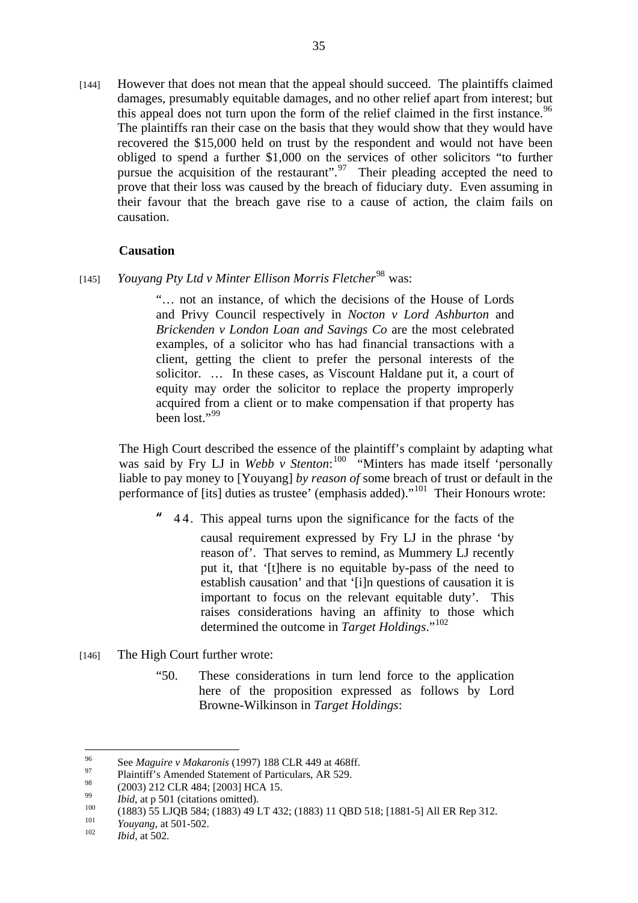[144] However that does not mean that the appeal should succeed. The plaintiffs claimed damages, presumably equitable damages, and no other relief apart from interest; but this appeal does not turn upon the form of the relief claimed in the first instance.<sup>96</sup> The plaintiffs ran their case on the basis that they would show that they would have recovered the \$15,000 held on trust by the respondent and would not have been obliged to spend a further \$1,000 on the services of other solicitors "to further pursue the acquisition of the restaurant".  $\frac{97}{7}$  Their pleading accepted the need to prove that their loss was caused by the breach of fiduciary duty. Even assuming in their favour that the breach gave rise to a cause of action, the claim fails on causation.

## **Causation**

[145] *Youyang Pty Ltd v Minter Ellison Morris Fletcher*<sup>98</sup> was:

"… not an instance, of which the decisions of the House of Lords and Privy Council respectively in *Nocton v Lord Ashburton* and *Brickenden v London Loan and Savings Co* are the most celebrated examples, of a solicitor who has had financial transactions with a client, getting the client to prefer the personal interests of the solicitor. … In these cases, as Viscount Haldane put it, a court of equity may order the solicitor to replace the property improperly acquired from a client or to make compensation if that property has been lost."<sup>99</sup>

The High Court described the essence of the plaintiff's complaint by adapting what was said by Fry LJ in *Webb v Stenton*:<sup>100</sup> "Minters has made itself 'personally liable to pay money to [Youyang] *by reason of* some breach of trust or default in the performance of [its] duties as trustee' (emphasis added)."101 Their Honours wrote:

**"** 4 4. This appeal turns upon the significance for the facts of the

causal requirement expressed by Fry LJ in the phrase 'by reason of'. That serves to remind, as Mummery LJ recently put it, that '[t]here is no equitable by-pass of the need to establish causation' and that '[i]n questions of causation it is important to focus on the relevant equitable duty'. This raises considerations having an affinity to those which determined the outcome in *Target Holdings*."<sup>102</sup>

- [146] The High Court further wrote:
	- "50. These considerations in turn lend force to the application here of the proposition expressed as follows by Lord Browne-Wilkinson in *Target Holdings*:

<sup>96</sup> 96 See *Maguire v Makaronis* (1997) 188 CLR 449 at 468ff.<br>Plaintiff's Amended Statement of Particulars, AR 529.<br>28 CARL ALL COO2LUGA 15

 $^{98}$  (2003) 212 CLR 484; [2003] HCA 15.

<sup>99</sup> *Ibid*, at p 501 (citations omitted).<br>
100 (1883) 55 LJQB 584; (1883) 49 LT 432; (1883) 11 QBD 518; [1881-5] All ER Rep 312.<br> *Youyang*, at 501-502.<br> *Ibid.* at 502.